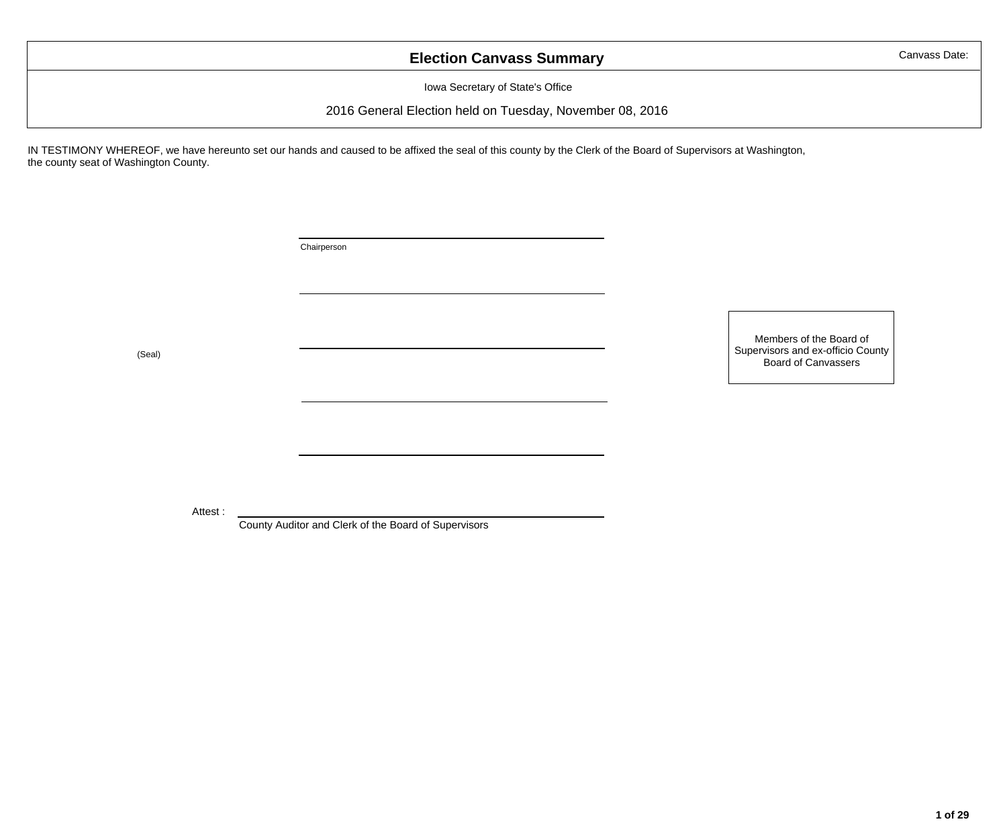## **Election Canvass Summary**

Canvass Date:

Iowa Secretary of State's Office

2016 General Election held on Tuesday, November 08, 2016

IN TESTIMONY WHEREOF, we have hereunto set our hands and caused to be affixed the seal of this county by the Clerk of the Board of Supervisors at Washington, the county seat of Washington County.

Chairperson

Members of the Board of Supervisors and ex-officio County<br>Board of Canvassers Seal)<br>Board of Canvassers (Seal)

Attest :

County Auditor and Clerk of the Board of Supervisors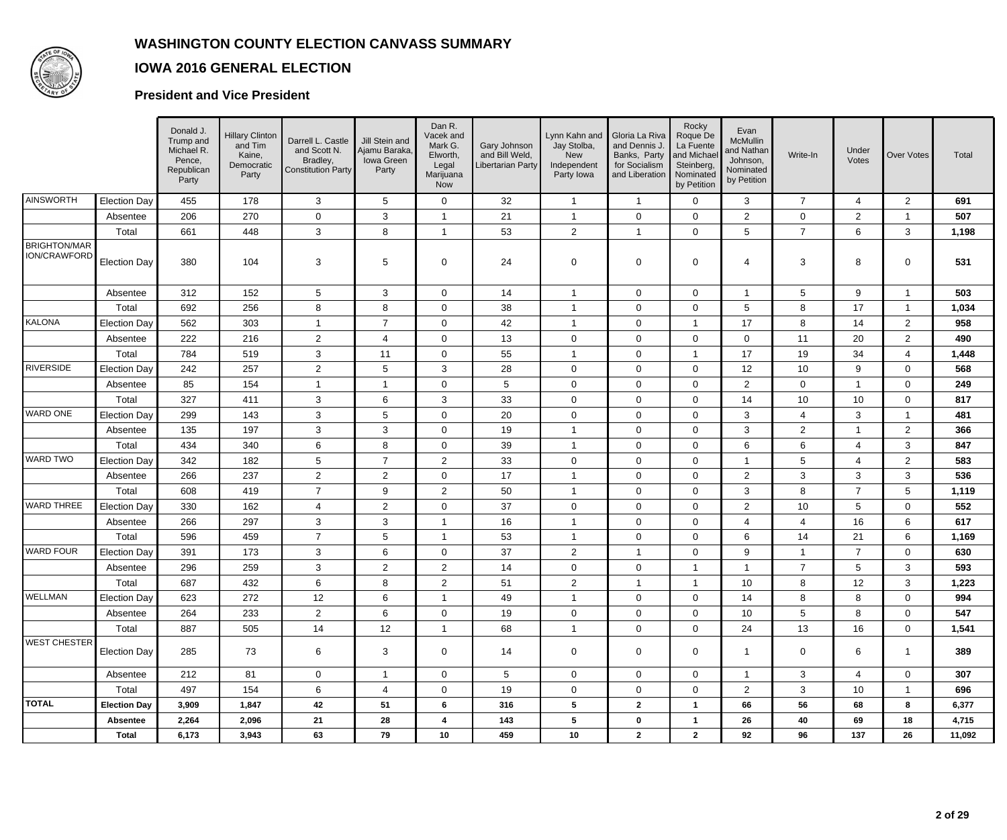

### **IOWA 2016 GENERAL ELECTION**

#### **President and Vice President**

|                              |                     | Donald J.<br>Trump and<br>Michael R.<br>Pence,<br>Republican<br>Party | <b>Hillary Clinton</b><br>and Tim<br>Kaine,<br>Democratic<br>Party | Darrell L. Castle<br>and Scott N.<br>Bradley,<br>Constitution Party | Jill Stein and<br>Ajamu Baraka,<br>Iowa Green<br>Party | Dan R.<br>Vacek and<br>Mark G.<br>Elworth,<br>Legal<br>Marijuana<br>Now | Gary Johnson<br>and Bill Weld,<br>Libertarian Party | Lynn Kahn and<br>Jay Stolba,<br><b>New</b><br>Independent<br>Party Iowa | Gloria La Riva<br>and Dennis J.<br>Banks, Party<br>for Socialism<br>and Liberation | Rocky<br>Roque De<br>La Fuente<br>and Michael<br>Steinberg,<br>Nominated<br>by Petition | Evan<br>McMullin<br>and Nathan<br>Johnson,<br>Nominated<br>by Petition | Write-In        | Under<br>Votes | <b>Over Votes</b>   | Total  |
|------------------------------|---------------------|-----------------------------------------------------------------------|--------------------------------------------------------------------|---------------------------------------------------------------------|--------------------------------------------------------|-------------------------------------------------------------------------|-----------------------------------------------------|-------------------------------------------------------------------------|------------------------------------------------------------------------------------|-----------------------------------------------------------------------------------------|------------------------------------------------------------------------|-----------------|----------------|---------------------|--------|
| AINSWORTH                    | Election Day        | 455                                                                   | 178                                                                | $\mathbf{3}$                                                        | 5                                                      | $\mathbf 0$                                                             | 32                                                  | $\overline{1}$                                                          | $\overline{1}$                                                                     | $\mathbf 0$                                                                             | 3                                                                      | $\overline{7}$  | $\overline{4}$ | $\mathbf{2}$        | 691    |
|                              | Absentee            | 206                                                                   | 270                                                                | $\mathbf 0$                                                         | 3                                                      | $\mathbf{1}$                                                            | 21                                                  | $\overline{\mathbf{1}}$                                                 | 0                                                                                  | $\mathbf 0$                                                                             | $\overline{2}$                                                         | $\mathbf 0$     | 2              | $\mathbf{1}$        | 507    |
|                              | Total               | 661                                                                   | 448                                                                | $\mathbf{3}$                                                        | 8                                                      | $\mathbf{1}$                                                            | 53                                                  | $\overline{2}$                                                          | $\overline{1}$                                                                     | $\mathbf 0$                                                                             | $5\phantom{.0}$                                                        | $\overline{7}$  | 6              | $\mathbf{3}$        | 1,198  |
| BRIGHTON/MAR<br>ION/CRAWFORD | <b>Election Day</b> | 380                                                                   | 104                                                                | 3                                                                   | $5\phantom{.0}$                                        | 0                                                                       | 24                                                  | 0                                                                       | 0                                                                                  | 0                                                                                       | 4                                                                      | 3               | 8              | 0                   | 531    |
|                              | Absentee            | 312                                                                   | 152                                                                | $5\phantom{.0}$                                                     | 3                                                      | $\mathbf 0$                                                             | 14                                                  | -1                                                                      | 0                                                                                  | $\mathbf 0$                                                                             | -1                                                                     | $5\phantom{.0}$ | 9              | $\mathbf{1}$        | 503    |
|                              | Total               | 692                                                                   | 256                                                                | 8                                                                   | 8                                                      | $\mathbf 0$                                                             | 38                                                  | $\overline{\mathbf{1}}$                                                 | 0                                                                                  | $\mathbf 0$                                                                             | 5                                                                      | 8               | 17             | $\mathbf{1}$        | 1,034  |
| KALONA                       | <b>Election Day</b> | 562                                                                   | 303                                                                | $\overline{\mathbf{1}}$                                             | $\overline{7}$                                         | $\boldsymbol{0}$                                                        | 42                                                  | $\overline{1}$                                                          | $\mathbf 0$                                                                        |                                                                                         | 17                                                                     | 8               | 14             | $\overline{c}$      | 958    |
|                              | Absentee            | 222                                                                   | 216                                                                | $\overline{2}$                                                      | 4                                                      | 0                                                                       | 13                                                  | 0                                                                       | 0                                                                                  | $\mathbf 0$                                                                             | 0                                                                      | 11              | 20             | $\mathbf{2}$        | 490    |
|                              | Total               | 784                                                                   | 519                                                                | 3                                                                   | 11                                                     | $\boldsymbol{0}$                                                        | 55                                                  | $\overline{\mathbf{1}}$                                                 | $\pmb{0}$                                                                          | -1                                                                                      | 17                                                                     | 19              | 34             | $\overline{4}$      | 1,448  |
| RIVERSIDE                    | <b>Election Day</b> | 242                                                                   | 257                                                                | $\overline{2}$                                                      | 5                                                      | 3                                                                       | 28                                                  | 0                                                                       | 0                                                                                  | $\mathbf 0$                                                                             | 12                                                                     | 10              | 9              | 0                   | 568    |
|                              | Absentee            | 85                                                                    | 154                                                                | $\overline{\mathbf{1}}$                                             | 1                                                      | 0                                                                       | 5                                                   | 0                                                                       | 0                                                                                  | $\mathbf 0$                                                                             | $\overline{c}$                                                         | $\overline{0}$  | $\overline{1}$ | 0                   | 249    |
|                              | Total               | 327                                                                   | 411                                                                | 3                                                                   | 6                                                      | $\mathsf 3$                                                             | 33                                                  | $\pmb{0}$                                                               | 0                                                                                  | $\mathbf 0$                                                                             | 14                                                                     | 10              | 10             | 0                   | 817    |
| WARD ONE                     | <b>Election Day</b> | 299                                                                   | 143                                                                | 3                                                                   | 5                                                      | 0                                                                       | 20                                                  | 0                                                                       | 0                                                                                  | $\mathbf 0$                                                                             | 3                                                                      | $\overline{4}$  | 3              | $\mathbf{1}$        | 481    |
|                              | Absentee            | 135                                                                   | 197                                                                | $\ensuremath{\mathsf{3}}$                                           | $\mathbf{3}$                                           | $\boldsymbol{0}$                                                        | 19                                                  | $\overline{1}$                                                          | $\pmb{0}$                                                                          | $\mathbf 0$                                                                             | 3                                                                      | $\overline{2}$  | $\overline{1}$ | $\overline{2}$      | 366    |
|                              | Total               | 434                                                                   | 340                                                                | 6                                                                   | 8                                                      | $\boldsymbol{0}$                                                        | 39                                                  | $\overline{1}$                                                          | 0                                                                                  | $\mathbf 0$                                                                             | 6                                                                      | $6\phantom{.}6$ | $\overline{4}$ | $\mathbf{3}$        | 847    |
| WARD TWO                     | <b>Election Day</b> | 342                                                                   | 182                                                                | 5                                                                   | $\overline{7}$                                         | $\overline{c}$                                                          | 33                                                  | 0                                                                       | 0                                                                                  | $\mathbf 0$                                                                             | -1                                                                     | 5               | $\overline{4}$ | $\overline{2}$      | 583    |
|                              | Absentee            | 266                                                                   | 237                                                                | $\overline{2}$                                                      | $\overline{2}$                                         | $\boldsymbol{0}$                                                        | 17                                                  | -1                                                                      | 0                                                                                  | 0                                                                                       | $\overline{c}$                                                         | $\mathbf{3}$    | $\mathbf{3}$   | $\mathbf{3}$        | 536    |
|                              | Total               | 608                                                                   | 419                                                                | $\overline{7}$                                                      | 9                                                      | $\mathbf{2}$                                                            | 50                                                  | $\overline{\mathbf{1}}$                                                 | 0                                                                                  | 0                                                                                       | 3                                                                      | 8               | $\overline{7}$ | 5                   | 1,119  |
| <b>WARD THREE</b>            | <b>Election Day</b> | 330                                                                   | 162                                                                | $\overline{\mathbf{4}}$                                             | $\overline{2}$                                         | $\mathbf 0$                                                             | 37                                                  | 0                                                                       | $\pmb{0}$                                                                          | $\pmb{0}$                                                                               | $\boldsymbol{2}$                                                       | $10$            | $\sqrt{5}$     | $\mathsf{O}\xspace$ | 552    |
|                              | Absentee            | 266                                                                   | 297                                                                | 3                                                                   | 3                                                      | $\mathbf{1}$                                                            | 16                                                  | $\overline{\mathbf{1}}$                                                 | 0                                                                                  | $\mathbf 0$                                                                             | $\overline{4}$                                                         | 4               | 16             | 6                   | 617    |
|                              | Total               | 596                                                                   | 459                                                                | $\overline{7}$                                                      | 5                                                      | $\overline{1}$                                                          | 53                                                  | -1                                                                      | 0                                                                                  | $\mathbf 0$                                                                             | 6                                                                      | 14              | 21             | 6                   | 1,169  |
| WARD FOUR                    | <b>Election Day</b> | 391                                                                   | 173                                                                | 3                                                                   | 6                                                      | $\boldsymbol{0}$                                                        | 37                                                  | $\overline{c}$                                                          | $\overline{\mathbf{1}}$                                                            | $\mathbf 0$                                                                             | 9                                                                      | $\mathbf{1}$    | $\overline{7}$ | 0                   | 630    |
|                              | Absentee            | 296                                                                   | 259                                                                | 3                                                                   | $\overline{a}$                                         | $\mathbf{2}$                                                            | 14                                                  | 0                                                                       | 0                                                                                  | -1                                                                                      | -1                                                                     | $\overline{7}$  | $\sqrt{5}$     | 3                   | 593    |
|                              | Total               | 687                                                                   | 432                                                                | 6                                                                   | 8                                                      | $\mathbf{2}$                                                            | 51                                                  | $\overline{c}$                                                          | $\overline{1}$                                                                     | $\overline{\mathbf{1}}$                                                                 | 10                                                                     | 8               | 12             | $\mathbf{3}$        | 1,223  |
| <b>WELLMAN</b>               | <b>Election Day</b> | 623                                                                   | 272                                                                | 12                                                                  | 6                                                      |                                                                         | 49                                                  | -1                                                                      | 0                                                                                  | 0                                                                                       | 14                                                                     | 8               | 8              | 0                   | 994    |
|                              | Absentee            | 264                                                                   | 233                                                                | 2 <sup>1</sup>                                                      | 6                                                      | $\Omega$                                                                | 19                                                  | $\mathbf 0$                                                             | 0                                                                                  | $\Omega$                                                                                | 10                                                                     | 5               | 8              | $\mathbf 0$         | 547    |
|                              | Total               | 887                                                                   | 505                                                                | 14                                                                  | 12                                                     | $\mathbf{1}$                                                            | 68                                                  | $\overline{1}$                                                          | 0                                                                                  | $\mathbf 0$                                                                             | 24                                                                     | 13              | 16             | $\mathbf 0$         | 1,541  |
| <b>WEST CHESTER</b>          | <b>Election Day</b> | 285                                                                   | 73                                                                 | 6                                                                   | $\mathbf{3}$                                           | $\mathbf 0$                                                             | 14                                                  | $\mathbf 0$                                                             | 0                                                                                  | $\mathbf 0$                                                                             | $\mathbf{1}$                                                           | $\mathbf 0$     | 6              | $\overline{1}$      | 389    |
|                              | Absentee            | 212                                                                   | 81                                                                 | $\mathbf{0}$                                                        | $\mathbf{1}$                                           | $\mathbf 0$                                                             | 5                                                   | 0                                                                       | 0                                                                                  | $\mathbf 0$                                                                             | $\mathbf{1}$                                                           | $\mathbf{3}$    | $\overline{4}$ | $\mathbf 0$         | 307    |
|                              | Total               | 497                                                                   | 154                                                                | 6                                                                   | 4                                                      | $\mathbf 0$                                                             | 19                                                  | $\mathbf 0$                                                             | 0                                                                                  | $\mathbf 0$                                                                             | $\overline{2}$                                                         | $\mathbf{3}$    | 10             | $\mathbf{1}$        | 696    |
| <b>TOTAL</b>                 | <b>Election Day</b> | 3,909                                                                 | 1,847                                                              | 42                                                                  | 51                                                     | 6                                                                       | 316                                                 | $5\phantom{.0}$                                                         | $\mathbf{2}$                                                                       | $\mathbf{1}$                                                                            | 66                                                                     | 56              | 68             | 8                   | 6,377  |
|                              | Absentee            | 2,264                                                                 | 2,096                                                              | 21                                                                  | 28                                                     | 4                                                                       | 143                                                 | 5                                                                       | 0                                                                                  | $\mathbf{1}$                                                                            | 26                                                                     | 40              | 69             | 18                  | 4,715  |
|                              | <b>Total</b>        | 6,173                                                                 | 3,943                                                              | 63                                                                  | 79                                                     | $10$                                                                    | 459                                                 | $10$                                                                    | $\mathbf{2}$                                                                       | $\mathbf{2}$                                                                            | 92                                                                     | 96              | 137            | 26                  | 11,092 |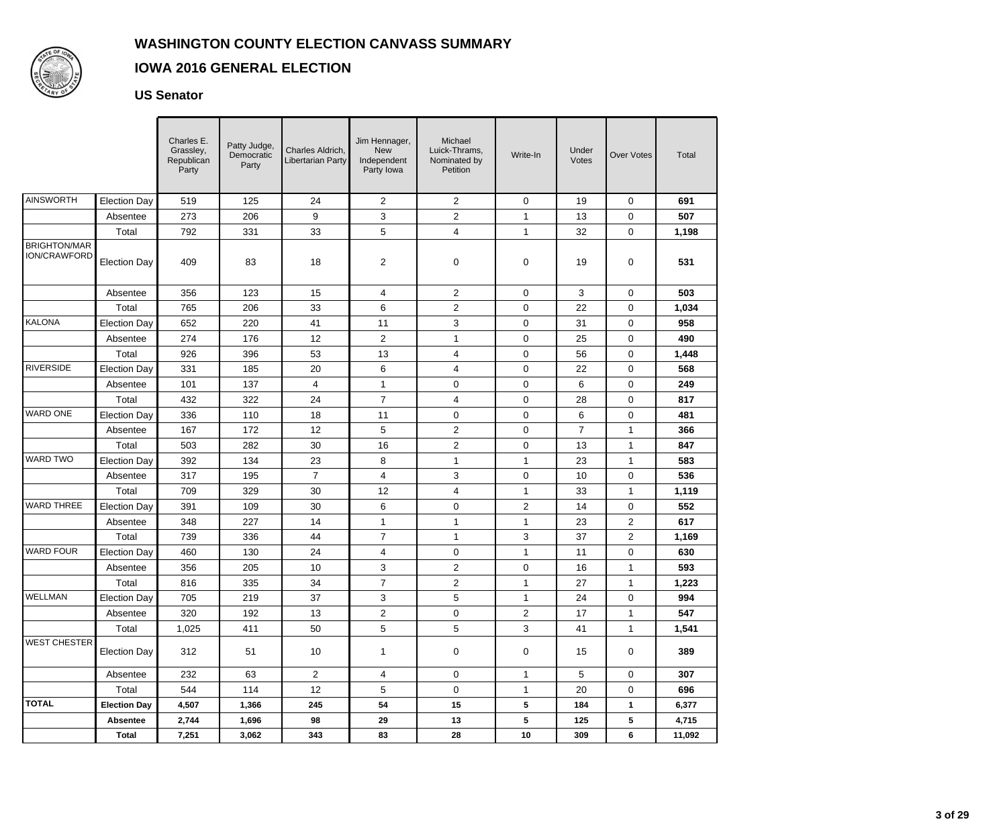

#### **IOWA 2016 GENERAL ELECTION**

#### **US Senator**

|                                            |                     | Charles E.<br>Grassley,<br>Republican<br>Party | Patty Judge,<br>Democratic<br>Party | Charles Aldrich,<br>Libertarian Party | Jim Hennager,<br><b>New</b><br>Independent<br>Party Iowa | Michael<br>Luick-Thrams,<br>Nominated by<br>Petition | Write-In       | Under<br>Votes | <b>Over Votes</b> | Total  |
|--------------------------------------------|---------------------|------------------------------------------------|-------------------------------------|---------------------------------------|----------------------------------------------------------|------------------------------------------------------|----------------|----------------|-------------------|--------|
| <b>AINSWORTH</b>                           | <b>Election Day</b> | 519                                            | 125                                 | 24                                    | $\overline{2}$                                           | $\overline{c}$                                       | $\mathbf 0$    | 19             | 0                 | 691    |
|                                            | Absentee            | 273                                            | 206                                 | 9                                     | 3                                                        | $\overline{2}$                                       | 1              | 13             | 0                 | 507    |
|                                            | Total               | 792                                            | 331                                 | 33                                    | 5                                                        | $\overline{\mathbf{4}}$                              | $\mathbf{1}$   | 32             | 0                 | 1,198  |
| <b>BRIGHTON/MAR</b><br><b>ION/CRAWFORD</b> | <b>Election Day</b> | 409                                            | 83                                  | 18                                    | $\overline{2}$                                           | 0                                                    | 0              | 19             | 0                 | 531    |
|                                            | Absentee            | 356                                            | 123                                 | 15                                    | 4                                                        | $\overline{2}$                                       | 0              | 3              | 0                 | 503    |
|                                            | Total               | 765                                            | 206                                 | 33                                    | 6                                                        | $\overline{2}$                                       | 0              | 22             | 0                 | 1,034  |
| <b>KALONA</b>                              | <b>Election Day</b> | 652                                            | 220                                 | 41                                    | 11                                                       | 3                                                    | 0              | 31             | 0                 | 958    |
|                                            | Absentee            | 274                                            | 176                                 | 12                                    | $\overline{a}$                                           | $\mathbf{1}$                                         | 0              | 25             | 0                 | 490    |
|                                            | Total               | 926                                            | 396                                 | 53                                    | 13                                                       | $\overline{\mathbf{4}}$                              | 0              | 56             | 0                 | 1,448  |
| <b>RIVERSIDE</b>                           | <b>Election Day</b> | 331                                            | 185                                 | 20                                    | 6                                                        | 4                                                    | 0              | 22             | 0                 | 568    |
|                                            | Absentee            | 101                                            | 137                                 | 4                                     | $\mathbf{1}$                                             | 0                                                    | $\mathbf 0$    | 6              | 0                 | 249    |
|                                            | Total               | 432                                            | 322                                 | 24                                    | $\overline{7}$                                           | 4                                                    | 0              | 28             | 0                 | 817    |
| <b>WARD ONE</b>                            | <b>Election Day</b> | 336                                            | 110                                 | 18                                    | 11                                                       | $\mathbf 0$                                          | $\mathbf 0$    | 6              | 0                 | 481    |
|                                            | Absentee            | 167                                            | 172                                 | 12                                    | 5                                                        | $\overline{2}$                                       | 0              | $\overline{7}$ | 1                 | 366    |
|                                            | Total               | 503                                            | 282                                 | 30                                    | 16                                                       | $\overline{2}$                                       | 0              | 13             | $\mathbf{1}$      | 847    |
| <b>WARD TWO</b>                            | <b>Election Day</b> | 392                                            | 134                                 | 23                                    | 8                                                        | $\mathbf{1}$                                         | $\mathbf{1}$   | 23             | 1                 | 583    |
|                                            | Absentee            | 317                                            | 195                                 | $\overline{7}$                        | 4                                                        | 3                                                    | 0              | 10             | 0                 | 536    |
|                                            | Total               | 709                                            | 329                                 | 30                                    | 12                                                       | 4                                                    | 1              | 33             | $\mathbf{1}$      | 1,119  |
| <b>WARD THREE</b>                          | <b>Election Day</b> | 391                                            | 109                                 | 30                                    | 6                                                        | $\mathbf 0$                                          | $\overline{c}$ | 14             | 0                 | 552    |
|                                            | Absentee            | 348                                            | 227                                 | 14                                    | 1                                                        | 1                                                    | 1              | 23             | 2                 | 617    |
|                                            | Total               | 739                                            | 336                                 | 44                                    | $\overline{7}$                                           | $\mathbf{1}$                                         | 3              | 37             | $\overline{c}$    | 1,169  |
| <b>WARD FOUR</b>                           | <b>Election Day</b> | 460                                            | 130                                 | 24                                    | 4                                                        | 0                                                    | 1              | 11             | 0                 | 630    |
|                                            | Absentee            | 356                                            | 205                                 | 10                                    | 3                                                        | $\overline{c}$                                       | 0              | 16             | $\mathbf 1$       | 593    |
|                                            | Total               | 816                                            | 335                                 | 34                                    | $\overline{7}$                                           | $\overline{2}$                                       | 1              | 27             | 1                 | 1,223  |
| <b>WELLMAN</b>                             | <b>Election Day</b> | 705                                            | 219                                 | 37                                    | 3                                                        | 5                                                    | $\mathbf 1$    | 24             | 0                 | 994    |
|                                            | Absentee            | 320                                            | 192                                 | 13                                    | $\overline{2}$                                           | $\overline{0}$                                       | $\overline{2}$ | 17             | $\mathbf{1}$      | 547    |
|                                            | Total               | 1,025                                          | 411                                 | 50                                    | 5                                                        | 5                                                    | 3              | 41             | $\mathbf{1}$      | 1,541  |
| <b>WEST CHESTER</b>                        | <b>Election Day</b> | 312                                            | 51                                  | 10                                    | 1                                                        | $\mathbf 0$                                          | 0              | 15             | 0                 | 389    |
|                                            | Absentee            | 232                                            | 63                                  | 2 <sup>7</sup>                        | 4                                                        | $\mathbf 0$                                          | 1              | 5              | 0                 | 307    |
|                                            | Total               | 544                                            | 114                                 | 12                                    | 5                                                        | 0                                                    | $\mathbf{1}$   | 20             | 0                 | 696    |
| <b>TOTAL</b>                               | <b>Election Day</b> | 4,507                                          | 1,366                               | 245                                   | 54                                                       | 15                                                   | 5              | 184            | $\mathbf{1}$      | 6,377  |
|                                            | Absentee            | 2,744                                          | 1,696                               | 98                                    | 29                                                       | 13                                                   | 5              | 125            | 5                 | 4,715  |
|                                            | Total               | 7,251                                          | 3,062                               | 343                                   | 83                                                       | 28                                                   | 10             | 309            | 6                 | 11,092 |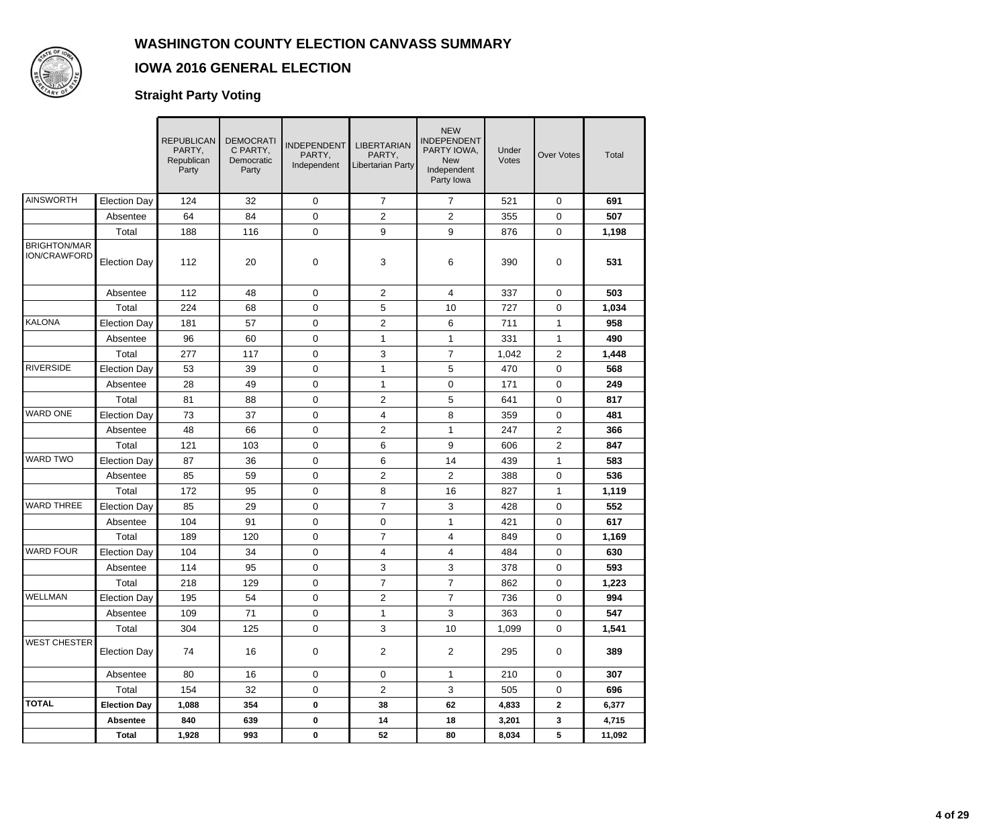

## **IOWA 2016 GENERAL ELECTION**

### **Straight Party Voting**

|                                     |                     | <b>REPUBLICAN</b><br>PARTY,<br>Republican<br>Party | <b>DEMOCRATI</b><br>C PARTY,<br>Democratic<br>Party | <b>INDEPENDENT</b><br>PARTY,<br>Independent | <b>LIBERTARIAN</b><br>PARTY,<br>Libertarian Party | <b>NEW</b><br>INDEPENDENT<br>PARTY IOWA,<br><b>New</b><br>Independent<br>Party Iowa | Under<br>Votes | <b>Over Votes</b>   | Total  |
|-------------------------------------|---------------------|----------------------------------------------------|-----------------------------------------------------|---------------------------------------------|---------------------------------------------------|-------------------------------------------------------------------------------------|----------------|---------------------|--------|
| <b>AINSWORTH</b>                    | <b>Election Day</b> | 124                                                | 32                                                  | 0                                           | $\overline{7}$                                    | $\overline{7}$                                                                      | 521            | $\mathbf 0$         | 691    |
|                                     | Absentee            | 64                                                 | 84                                                  | 0                                           | $\overline{c}$                                    | $\overline{c}$                                                                      | 355            | $\mathsf{O}\xspace$ | 507    |
|                                     | Total               | 188                                                | 116                                                 | 0                                           | 9                                                 | 9                                                                                   | 876            | 0                   | 1,198  |
| <b>BRIGHTON/MAR</b><br>ION/CRAWFORD | <b>Election Day</b> | 112                                                | 20                                                  | 0                                           | 3                                                 | 6                                                                                   | 390            | 0                   | 531    |
|                                     | Absentee            | 112                                                | 48                                                  | $\mathbf 0$                                 | $\overline{c}$                                    | 4                                                                                   | 337            | $\mathbf 0$         | 503    |
|                                     | Total               | 224                                                | 68                                                  | 0                                           | 5                                                 | 10                                                                                  | 727            | 0                   | 1,034  |
| KALONA                              | <b>Election Day</b> | 181                                                | 57                                                  | 0                                           | $\overline{c}$                                    | 6                                                                                   | 711            | $\mathbf{1}$        | 958    |
|                                     | Absentee            | 96                                                 | 60                                                  | 0                                           | 1                                                 | $\mathbf{1}$                                                                        | 331            | $\mathbf{1}$        | 490    |
|                                     | Total               | 277                                                | 117                                                 | 0                                           | 3                                                 | $\overline{7}$                                                                      | 1,042          | $\overline{2}$      | 1,448  |
| <b>RIVERSIDE</b>                    | <b>Election Day</b> | 53                                                 | 39                                                  | 0                                           | 1                                                 | 5                                                                                   | 470            | $\mathsf{O}\xspace$ | 568    |
|                                     | Absentee            | 28                                                 | 49                                                  | 0                                           | 1                                                 | 0                                                                                   | 171            | 0                   | 249    |
|                                     | Total               | 81                                                 | 88                                                  | 0                                           | $\overline{c}$                                    | 5                                                                                   | 641            | 0                   | 817    |
| <b>WARD ONE</b>                     | <b>Election Day</b> | 73                                                 | 37                                                  | 0                                           | 4                                                 | 8                                                                                   | 359            | 0                   | 481    |
|                                     | Absentee            | 48                                                 | 66                                                  | 0                                           | $\overline{c}$                                    | $\mathbf{1}$                                                                        | 247            | $\overline{2}$      | 366    |
|                                     | Total               | 121                                                | 103                                                 | 0                                           | 6                                                 | 9                                                                                   | 606            | $\overline{c}$      | 847    |
| <b>WARD TWO</b>                     | <b>Election Day</b> | 87                                                 | 36                                                  | 0                                           | 6                                                 | 14                                                                                  | 439            | $\mathbf{1}$        | 583    |
|                                     | Absentee            | 85                                                 | 59                                                  | 0                                           | $\overline{c}$                                    | 2                                                                                   | 388            | 0                   | 536    |
|                                     | Total               | 172                                                | 95                                                  | 0                                           | 8                                                 | 16                                                                                  | 827            | $\mathbf{1}$        | 1,119  |
| <b>WARD THREE</b>                   | <b>Election Day</b> | 85                                                 | 29                                                  | 0                                           | $\overline{7}$                                    | 3                                                                                   | 428            | $\mathbf 0$         | 552    |
|                                     | Absentee            | 104                                                | 91                                                  | 0                                           | 0                                                 | $\mathbf{1}$                                                                        | 421            | $\mathsf{O}\xspace$ | 617    |
|                                     | Total               | 189                                                | 120                                                 | 0                                           | $\overline{7}$                                    | 4                                                                                   | 849            | 0                   | 1,169  |
| <b>WARD FOUR</b>                    | <b>Election Day</b> | 104                                                | 34                                                  | 0                                           | 4                                                 | 4                                                                                   | 484            | 0                   | 630    |
|                                     | Absentee            | 114                                                | 95                                                  | 0                                           | 3                                                 | 3                                                                                   | 378            | 0                   | 593    |
|                                     | Total               | 218                                                | 129                                                 | 0                                           | $\overline{7}$                                    | $\overline{7}$                                                                      | 862            | 0                   | 1,223  |
| <b>WELLMAN</b>                      | Election Day        | 195                                                | 54                                                  | $\mathsf 0$                                 | $\sqrt{2}$                                        | $\boldsymbol{7}$                                                                    | 736            | $\mathbf 0$         | 994    |
|                                     | Absentee            | 109                                                | 71                                                  | 0                                           | 1                                                 | 3                                                                                   | 363            | 0                   | 547    |
|                                     | Total               | 304                                                | 125                                                 | 0                                           | 3                                                 | 10                                                                                  | 1,099          | $\mathsf{O}$        | 1,541  |
| <b>WEST CHESTER</b>                 | <b>Election Day</b> | 74                                                 | 16                                                  | 0                                           | $\overline{2}$                                    | $\overline{2}$                                                                      | 295            | $\mathbf 0$         | 389    |
|                                     | Absentee            | 80                                                 | 16                                                  | 0                                           | $\mathbf 0$                                       | $\mathbf{1}$                                                                        | 210            | $\mathsf{O}$        | 307    |
|                                     | Total               | 154                                                | 32                                                  | 0                                           | $\overline{2}$                                    | 3                                                                                   | 505            | $\mathbf 0$         | 696    |
| <b>TOTAL</b>                        | <b>Election Day</b> | 1,088                                              | 354                                                 | 0                                           | 38                                                | 62                                                                                  | 4,833          | $\mathbf{2}$        | 6,377  |
|                                     | <b>Absentee</b>     | 840                                                | 639                                                 | 0                                           | 14                                                | 18                                                                                  | 3,201          | $\mathbf{3}$        | 4,715  |
|                                     | <b>Total</b>        | 1,928                                              | 993                                                 | $\pmb{0}$                                   | $52\phantom{.0}$                                  | 80                                                                                  | 8,034          | 5 <sub>1</sub>      | 11,092 |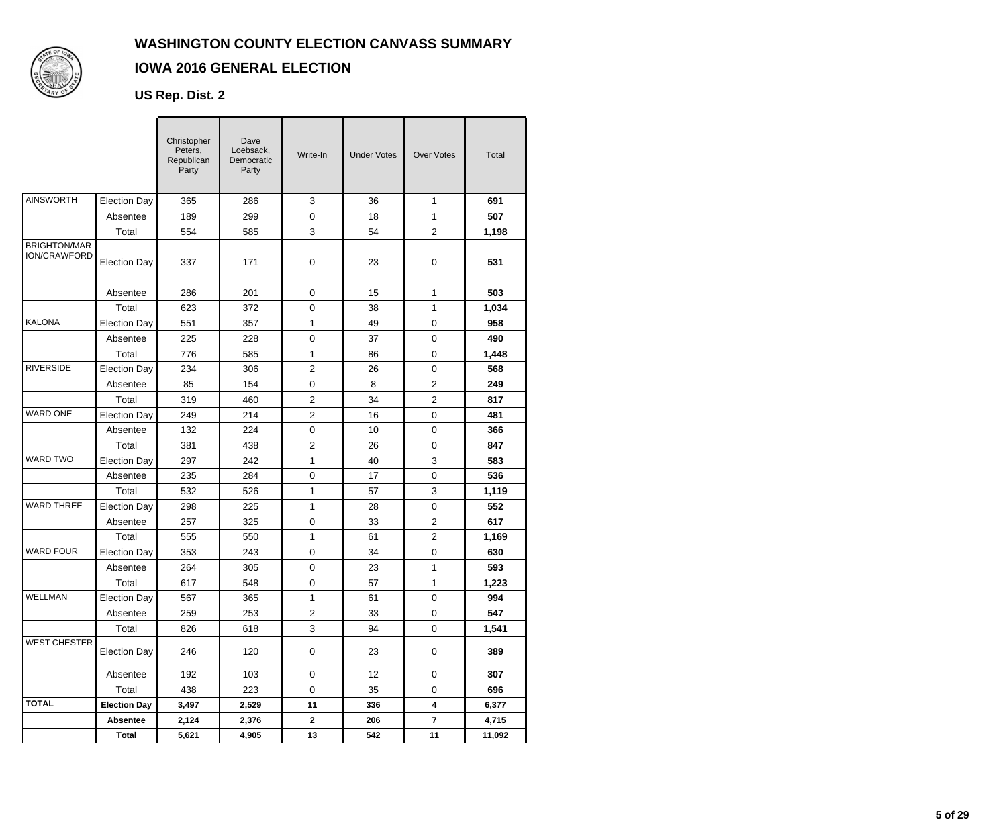

## **IOWA 2016 GENERAL ELECTION**

## **US Rep. Dist. 2**

|                                     |                     | Christopher<br>Peters,<br>Republican<br>Party | Dave<br>Loebsack,<br>Democratic<br>Party | Write-In         | <b>Under Votes</b> | <b>Over Votes</b>       | Total  |
|-------------------------------------|---------------------|-----------------------------------------------|------------------------------------------|------------------|--------------------|-------------------------|--------|
| AINSWORTH                           | <b>Election Day</b> | 365                                           | 286                                      | $\mathsf 3$      | 36                 | 1                       | 691    |
|                                     | Absentee            | 189                                           | 299                                      | $\mathbf 0$      | 18                 | 1                       | 507    |
|                                     | Total               | 554                                           | 585                                      | $\sqrt{3}$       | 54                 | $\overline{c}$          | 1,198  |
| <b>BRIGHTON/MAR</b><br>ION/CRAWFORD | <b>Election Day</b> | 337                                           | 171                                      | 0                | 23                 | 0                       | 531    |
|                                     | Absentee            | 286                                           | 201                                      | $\mathbf 0$      | 15                 | $\mathbf{1}$            | 503    |
|                                     | Total               | 623                                           | 372                                      | $\pmb{0}$        | 38                 | 1                       | 1,034  |
| KALONA                              | <b>Election Day</b> | 551                                           | 357                                      | 1                | 49                 | $\mathbf 0$             | 958    |
|                                     | Absentee            | 225                                           | 228                                      | $\pmb{0}$        | 37                 | $\mathbf 0$             | 490    |
|                                     | Total               | 776                                           | 585                                      | 1                | 86                 | 0                       | 1,448  |
| <b>RIVERSIDE</b>                    | <b>Election Day</b> | 234                                           | 306                                      | 2                | 26                 | $\pmb{0}$               | 568    |
|                                     | Absentee            | 85                                            | 154                                      | $\pmb{0}$        | 8                  | $\overline{c}$          | 249    |
|                                     | Total               | 319                                           | 460                                      | $\overline{2}$   | 34                 | $\overline{2}$          | 817    |
| WARD ONE                            | <b>Election Day</b> | 249                                           | 214                                      | $\overline{c}$   | 16                 | $\mathbf 0$             | 481    |
|                                     | Absentee            | 132                                           | 224                                      | $\mathbf 0$      | 10                 | 0                       | 366    |
|                                     | Total               | 381                                           | 438                                      | $\overline{2}$   | 26                 | $\pmb{0}$               | 847    |
| <b>WARD TWO</b>                     | <b>Election Day</b> | 297                                           | 242                                      | 1                | 40                 | 3                       | 583    |
|                                     | Absentee            | 235                                           | 284                                      | 0                | 17                 | $\mathbf 0$             | 536    |
|                                     | Total               | 532                                           | 526                                      | $\mathbf{1}$     | 57                 | 3                       | 1,119  |
| <b>WARD THREE</b>                   | <b>Election Day</b> | 298                                           | 225                                      | 1                | 28                 | 0                       | 552    |
|                                     | Absentee            | 257                                           | 325                                      | $\boldsymbol{0}$ | 33                 | $\overline{c}$          | 617    |
|                                     | Total               | 555                                           | 550                                      | 1                | 61                 | $\overline{c}$          | 1,169  |
| <b>WARD FOUR</b>                    | <b>Election Day</b> | 353                                           | 243                                      | $\mathbf 0$      | 34                 | 0                       | 630    |
|                                     | Absentee            | 264                                           | 305                                      | $\pmb{0}$        | 23                 | 1                       | 593    |
|                                     | Total               | 617                                           | 548                                      | $\pmb{0}$        | 57                 | 1                       | 1,223  |
| WELLMAN                             | <b>Election Day</b> | 567                                           | 365                                      | 1                | 61                 | $\mathsf 0$             | 994    |
|                                     | Absentee            | 259                                           | 253                                      | $\overline{2}$   | 33                 | $\mathbf 0$             | 547    |
|                                     | Total               | 826                                           | 618                                      | 3                | 94                 | $\mathbf 0$             | 1,541  |
| <b>WEST CHESTER</b>                 | <b>Election Day</b> | 246                                           | 120                                      | $\pmb{0}$        | 23                 | $\pmb{0}$               | 389    |
|                                     | Absentee            | 192                                           | 103                                      | 0                | 12                 | 0                       | 307    |
|                                     | Total               | 438                                           | 223                                      | $\mathbf 0$      | 35                 | 0                       | 696    |
| <b>TOTAL</b>                        | <b>Election Day</b> | 3,497                                         | 2,529                                    | 11               | 336                | 4                       | 6,377  |
|                                     | <b>Absentee</b>     | 2,124                                         | 2,376                                    | $\mathbf{2}$     | 206                | $\overline{\mathbf{r}}$ | 4,715  |
|                                     | <b>Total</b>        | 5,621                                         | 4,905                                    | 13               | 542                | 11                      | 11,092 |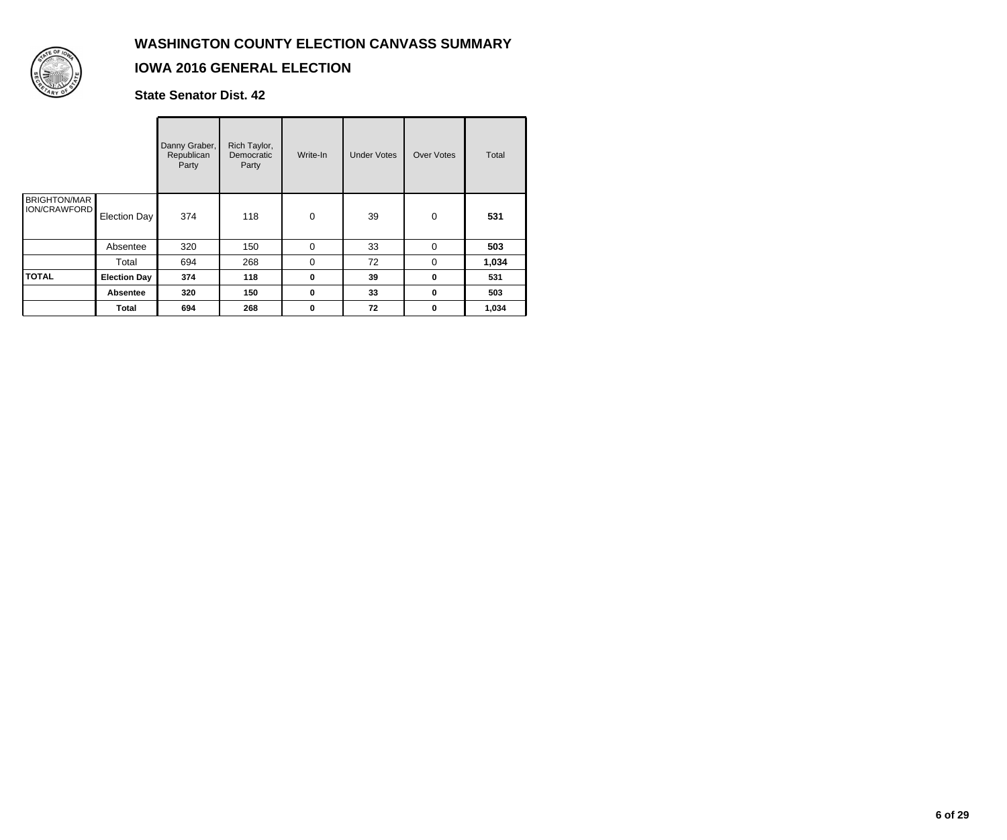

### **IOWA 2016 GENERAL ELECTION**

**State Senator Dist. 42**

|                                            |                     | Danny Graber,<br>Republican<br>Party | Rich Taylor,<br>Democratic<br>Party | Write-In    | <b>Under Votes</b> | <b>Over Votes</b> | Total |
|--------------------------------------------|---------------------|--------------------------------------|-------------------------------------|-------------|--------------------|-------------------|-------|
| <b>BRIGHTON/MAR</b><br><b>ION/CRAWFORD</b> | Election Day        | 374                                  | 118                                 | $\mathbf 0$ | 39                 | $\mathbf 0$       | 531   |
|                                            | Absentee            | 320                                  | 150                                 | $\mathbf 0$ | 33                 | $\Omega$          | 503   |
|                                            | Total               | 694                                  | 268                                 | $\mathbf 0$ | 72                 | 0                 | 1,034 |
| <b>TOTAL</b>                               | <b>Election Day</b> | 374                                  | 118                                 | $\bf{0}$    | 39                 | $\bf{0}$          | 531   |
|                                            | <b>Absentee</b>     | 320                                  | 150                                 | $\mathbf 0$ | 33                 | 0                 | 503   |
|                                            | <b>Total</b>        | 694                                  | 268                                 | $\mathbf 0$ | 72                 | 0                 | 1,034 |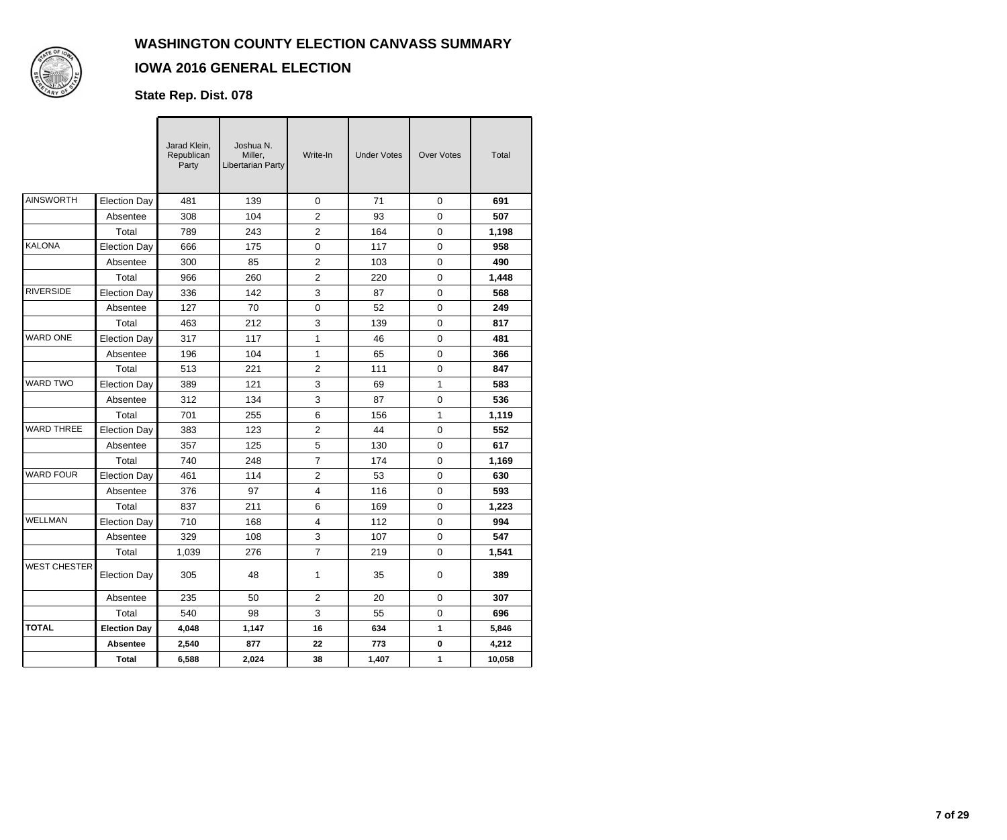

## **IOWA 2016 GENERAL ELECTION**

## **State Rep. Dist. 078**

|                     |                     | Jarad Klein,<br>Republican<br>Party | Joshua N.<br>Miller,<br>Libertarian Party | Write-In       | <b>Under Votes</b> | <b>Over Votes</b> | Total  |
|---------------------|---------------------|-------------------------------------|-------------------------------------------|----------------|--------------------|-------------------|--------|
| <b>AINSWORTH</b>    | <b>Election Day</b> | 481                                 | 139                                       | 0              | 71                 | 0                 | 691    |
|                     | Absentee            | 308                                 | 104                                       | $\overline{c}$ | 93                 | 0                 | 507    |
|                     | Total               | 789                                 | 243                                       | $\overline{c}$ | 164                | 0                 | 1,198  |
| <b>KALONA</b>       | <b>Election Day</b> | 666                                 | 175                                       | 0              | 117                | 0                 | 958    |
|                     | Absentee            | 300                                 | 85                                        | $\overline{2}$ | 103                | $\mathbf 0$       | 490    |
|                     | Total               | 966                                 | 260                                       | $\overline{c}$ | 220                | 0                 | 1,448  |
| <b>RIVERSIDE</b>    | <b>Election Day</b> | 336                                 | 142                                       | 3              | 87                 | 0                 | 568    |
|                     | Absentee            | 127                                 | 70                                        | 0              | 52                 | 0                 | 249    |
|                     | Total               | 463                                 | 212                                       | 3              | 139                | 0                 | 817    |
| <b>WARD ONE</b>     | <b>Election Day</b> | 317                                 | 117                                       | 1              | 46                 | 0                 | 481    |
|                     | Absentee            | 196                                 | 104                                       | 1              | 65                 | $\Omega$          | 366    |
|                     | Total               | 513                                 | 221                                       | $\overline{2}$ | 111                | 0                 | 847    |
| <b>WARD TWO</b>     | <b>Election Dav</b> | 389                                 | 121                                       | 3              | 69                 | $\mathbf{1}$      | 583    |
|                     | Absentee            | 312                                 | 134                                       | 3              | 87                 | 0                 | 536    |
|                     | Total               | 701                                 | 255                                       | 6              | 156                | $\mathbf{1}$      | 1,119  |
| <b>WARD THREE</b>   | Election Day        | 383                                 | 123                                       | $\overline{c}$ | 44                 | 0                 | 552    |
|                     | Absentee            | 357                                 | 125                                       | 5              | 130                | 0                 | 617    |
|                     | Total               | 740                                 | 248                                       | $\overline{7}$ | 174                | $\Omega$          | 1,169  |
| <b>WARD FOUR</b>    | <b>Election Day</b> | 461                                 | 114                                       | 2              | 53                 | 0                 | 630    |
|                     | Absentee            | 376                                 | 97                                        | 4              | 116                | $\Omega$          | 593    |
|                     | Total               | 837                                 | 211                                       | 6              | 169                | 0                 | 1,223  |
| <b>WELLMAN</b>      | <b>Election Day</b> | 710                                 | 168                                       | $\overline{4}$ | 112                | 0                 | 994    |
|                     | Absentee            | 329                                 | 108                                       | 3              | 107                | 0                 | 547    |
|                     | Total               | 1,039                               | 276                                       | $\overline{7}$ | 219                | $\mathbf 0$       | 1,541  |
| <b>WEST CHESTER</b> | <b>Election Day</b> | 305                                 | 48                                        | 1              | 35                 | 0                 | 389    |
|                     | Absentee            | 235                                 | 50                                        | 2              | 20                 | 0                 | 307    |
|                     | Total               | 540                                 | 98                                        | 3              | 55                 | 0                 | 696    |
| <b>TOTAL</b>        | <b>Election Day</b> | 4,048                               | 1,147                                     | 16             | 634                | $\mathbf{1}$      | 5,846  |
|                     | <b>Absentee</b>     | 2,540                               | 877                                       | 22             | 773                | 0                 | 4,212  |
|                     | <b>Total</b>        | 6,588                               | 2,024                                     | 38             | 1,407              | $\mathbf{1}$      | 10,058 |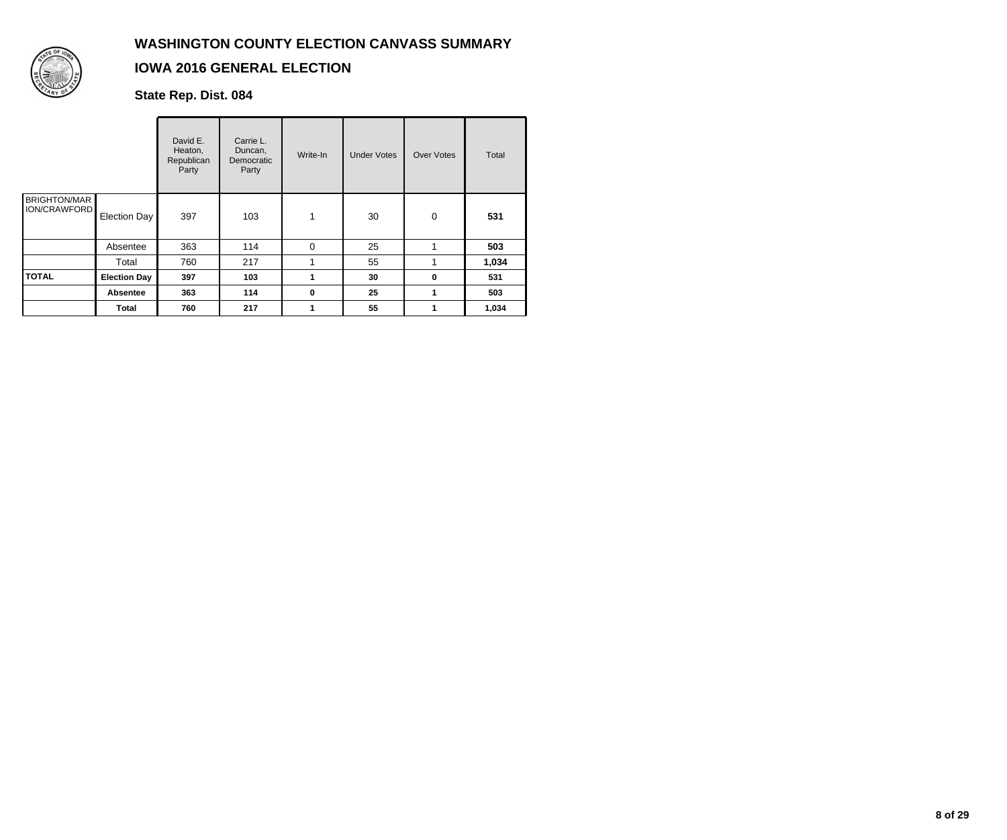

## **IOWA 2016 GENERAL ELECTION**

**State Rep. Dist. 084**

|                                            |                     | David E.<br>Heaton,<br>Republican<br>Party | Carrie L.<br>Duncan,<br>Democratic<br>Party | Write-In    | <b>Under Votes</b> | <b>Over Votes</b> | <b>Total</b> |
|--------------------------------------------|---------------------|--------------------------------------------|---------------------------------------------|-------------|--------------------|-------------------|--------------|
| <b>BRIGHTON/MAR</b><br><b>ION/CRAWFORD</b> | Election Day        | 397                                        | 103                                         | 1           | 30                 | $\pmb{0}$         | 531          |
|                                            | Absentee            | 363                                        | 114                                         | 0           | 25                 |                   | 503          |
|                                            | Total               | 760                                        | 217                                         |             | 55                 |                   | 1,034        |
| <b>TOTAL</b>                               | <b>Election Day</b> | 397                                        | 103                                         | 1           | 30                 | 0                 | 531          |
|                                            | <b>Absentee</b>     | 363                                        | 114                                         | $\mathbf 0$ | 25                 |                   | 503          |
|                                            | <b>Total</b>        | 760                                        | 217                                         | 1           | 55                 |                   | 1,034        |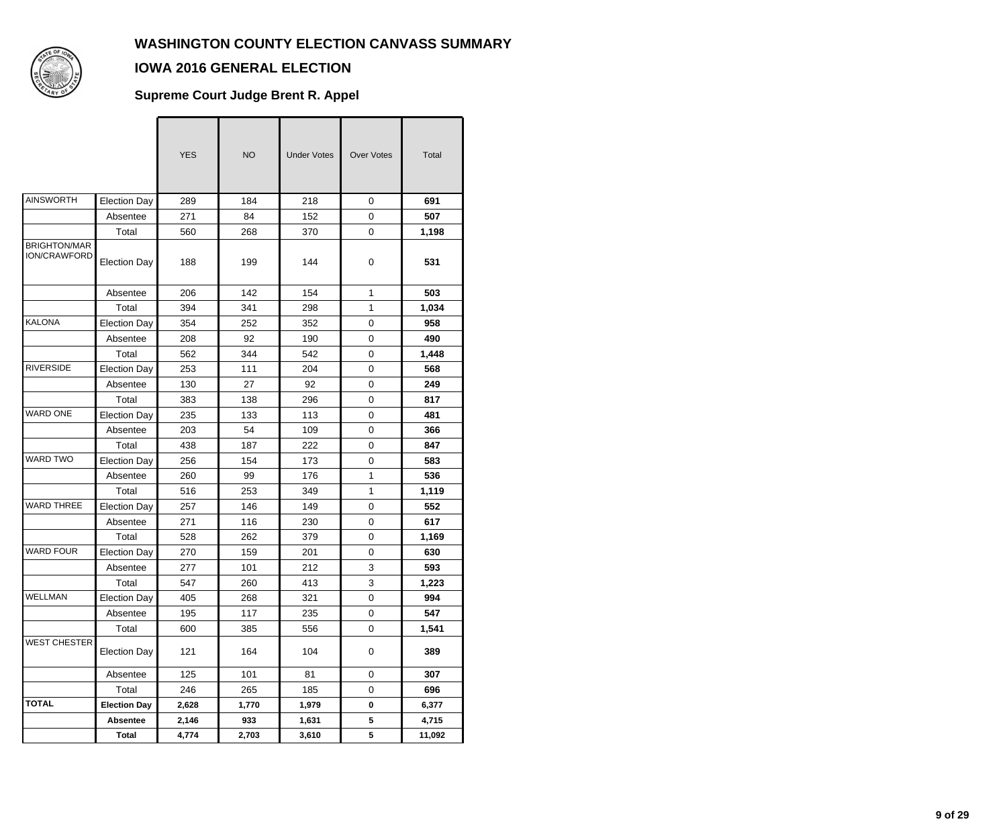$\overline{\phantom{a}}$ 



## **IOWA 2016 GENERAL ELECTION**

#### **Supreme Court Judge Brent R. Appel**

|                                            |                     | <b>YES</b> | <b>NO</b> | <b>Under Votes</b> | <b>Over Votes</b> | Total  |
|--------------------------------------------|---------------------|------------|-----------|--------------------|-------------------|--------|
| <b>AINSWORTH</b>                           | <b>Election Day</b> | 289        | 184       | 218                | $\mathbf 0$       | 691    |
|                                            | Absentee            | 271        | 84        | 152                | $\mathsf 0$       | 507    |
|                                            | Total               | 560        | 268       | 370                | 0                 | 1,198  |
| <b>BRIGHTON/MAR</b><br><b>ION/CRAWFORD</b> | <b>Election Day</b> | 188        | 199       | 144                | 0                 | 531    |
|                                            | Absentee            | 206        | 142       | 154                | $\mathbf{1}$      | 503    |
|                                            | Total               | 394        | 341       | 298                | 1                 | 1,034  |
| <b>KALONA</b>                              | <b>Election Day</b> | 354        | 252       | 352                | 0                 | 958    |
|                                            | Absentee            | 208        | 92        | 190                | $\mathbf 0$       | 490    |
|                                            | Total               | 562        | 344       | 542                | 0                 | 1,448  |
| <b>RIVERSIDE</b>                           | <b>Election Day</b> | 253        | 111       | 204                | 0                 | 568    |
|                                            | Absentee            | 130        | 27        | 92                 | 0                 | 249    |
|                                            | Total               | 383        | 138       | 296                | 0                 | 817    |
| <b>WARD ONE</b>                            | <b>Election Day</b> | 235        | 133       | 113                | $\mathbf 0$       | 481    |
|                                            | Absentee            | 203        | 54        | 109                | 0                 | 366    |
|                                            | Total               | 438        | 187       | 222                | 0                 | 847    |
| WARD TWO                                   | <b>Election Day</b> | 256        | 154       | 173                | 0                 | 583    |
|                                            | Absentee            | 260        | 99        | 176                | $\mathbf{1}$      | 536    |
|                                            | Total               | 516        | 253       | 349                | $\mathbf{1}$      | 1,119  |
| <b>WARD THREE</b>                          | <b>Election Day</b> | 257        | 146       | 149                | 0                 | 552    |
|                                            | Absentee            | 271        | 116       | 230                | 0                 | 617    |
|                                            | Total               | 528        | 262       | 379                | 0                 | 1,169  |
| <b>WARD FOUR</b>                           | <b>Election Day</b> | 270        | 159       | 201                | 0                 | 630    |
|                                            | Absentee            | 277        | 101       | 212                | 3                 | 593    |
|                                            | Total               | 547        | 260       | 413                | 3                 | 1,223  |
| WELLMAN                                    | Election Day        | 405        | 268       | 321                | $\mathbf 0$       | 994    |
|                                            | Absentee            | 195        | 117       | 235                | 0                 | 547    |
|                                            | Total               | 600        | 385       | 556                | $\mathbf 0$       | 1,541  |
| <b>WEST CHESTER</b>                        | <b>Election Day</b> | 121        | 164       | 104                | 0                 | 389    |
|                                            | Absentee            | 125        | 101       | 81                 | 0                 | 307    |
|                                            | Total               | 246        | 265       | 185                | 0                 | 696    |
| <b>TOTAL</b>                               | <b>Election Day</b> | 2,628      | 1,770     | 1,979              | $\bf{0}$          | 6,377  |
|                                            | <b>Absentee</b>     | 2,146      | 933       | 1,631              | 5                 | 4,715  |
|                                            | <b>Total</b>        | 4,774      | 2,703     | 3,610              | 5                 | 11,092 |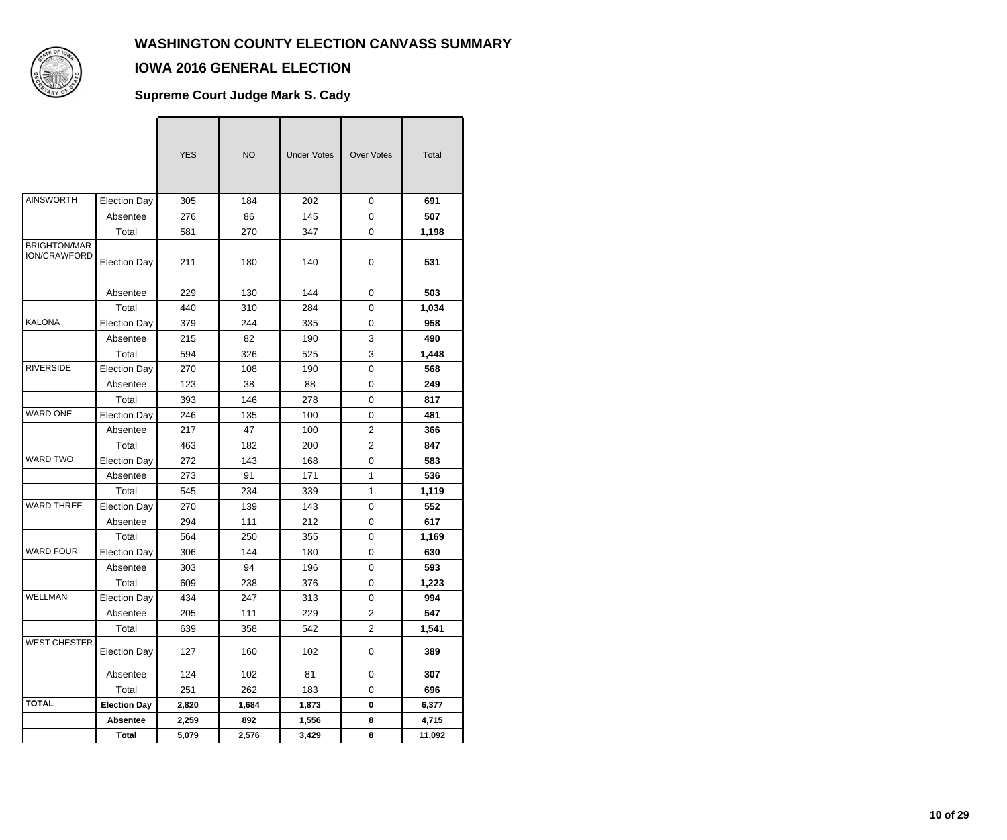$\overline{\phantom{a}}$ 



## **IOWA 2016 GENERAL ELECTION**

### **Supreme Court Judge Mark S. Cady**

|                                     |                     | <b>YES</b> | <b>NO</b> | <b>Under Votes</b> | <b>Over Votes</b> | Total  |
|-------------------------------------|---------------------|------------|-----------|--------------------|-------------------|--------|
| <b>AINSWORTH</b>                    | <b>Election Day</b> | 305        | 184       | 202                | $\mathbf 0$       | 691    |
|                                     | Absentee            | 276        | 86        | 145                | $\mathsf 0$       | 507    |
|                                     | Total               | 581        | 270       | 347                | 0                 | 1,198  |
| <b>BRIGHTON/MAR</b><br>ION/CRAWFORD | <b>Election Day</b> | 211        | 180       | 140                | 0                 | 531    |
|                                     | Absentee            | 229        | 130       | 144                | $\mathbf 0$       | 503    |
|                                     | Total               | 440        | 310       | 284                | 0                 | 1,034  |
| <b>KALONA</b>                       | <b>Election Day</b> | 379        | 244       | 335                | 0                 | 958    |
|                                     | Absentee            | 215        | 82        | 190                | 3                 | 490    |
|                                     | Total               | 594        | 326       | 525                | 3                 | 1,448  |
| <b>RIVERSIDE</b>                    | <b>Election Day</b> | 270        | 108       | 190                | $\mathsf 0$       | 568    |
|                                     | Absentee            | 123        | 38        | 88                 | 0                 | 249    |
|                                     | Total               | 393        | 146       | 278                | 0                 | 817    |
| <b>WARD ONE</b>                     | <b>Election Day</b> | 246        | 135       | 100                | $\mathbf 0$       | 481    |
|                                     | Absentee            | 217        | 47        | 100                | $\overline{c}$    | 366    |
|                                     | Total               | 463        | 182       | 200                | $\overline{2}$    | 847    |
| WARD TWO                            | <b>Election Day</b> | 272        | 143       | 168                | 0                 | 583    |
|                                     | Absentee            | 273        | 91        | 171                | 1                 | 536    |
|                                     | Total               | 545        | 234       | 339                | $\mathbf{1}$      | 1,119  |
| <b>WARD THREE</b>                   | <b>Election Day</b> | 270        | 139       | 143                | 0                 | 552    |
|                                     | Absentee            | 294        | 111       | 212                | $\mathsf 0$       | 617    |
|                                     | Total               | 564        | 250       | 355                | 0                 | 1,169  |
| <b>WARD FOUR</b>                    | <b>Election Day</b> | 306        | 144       | 180                | 0                 | 630    |
|                                     | Absentee            | 303        | 94        | 196                | $\mathbf 0$       | 593    |
|                                     | Total               | 609        | 238       | 376                | 0                 | 1,223  |
| <b>WELLMAN</b>                      | Election Day        | 434        | 247       | 313                | $\pmb{0}$         | 994    |
|                                     | Absentee            | 205        | 111       | 229                | $\overline{2}$    | 547    |
|                                     | Total               | 639        | 358       | 542                | $\overline{2}$    | 1,541  |
| <b>WEST CHESTER</b>                 | <b>Election Day</b> | 127        | 160       | 102                | 0                 | 389    |
|                                     | Absentee            | 124        | 102       | 81                 | 0                 | 307    |
|                                     | Total               | 251        | 262       | 183                | 0                 | 696    |
| <b>TOTAL</b>                        | <b>Election Day</b> | 2,820      | 1,684     | 1,873              | $\mathbf 0$       | 6,377  |
|                                     | <b>Absentee</b>     | 2,259      | 892       | 1,556              | 8                 | 4,715  |
|                                     | <b>Total</b>        | 5,079      | 2,576     | 3,429              | 8                 | 11,092 |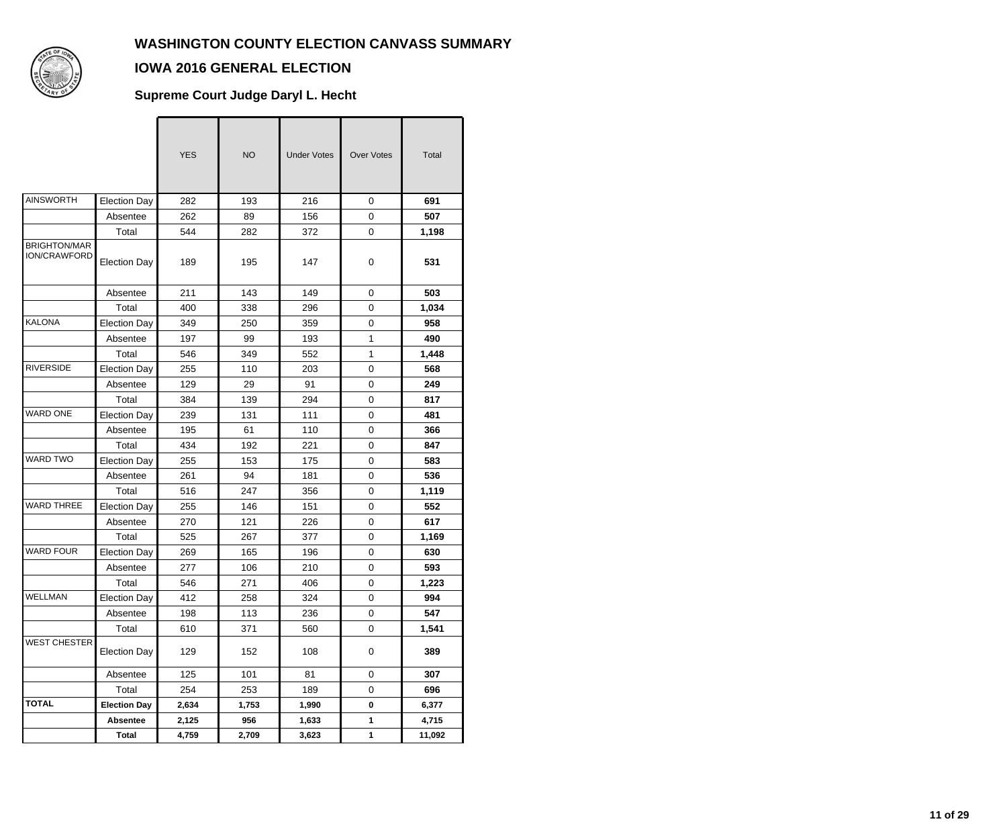

## **IOWA 2016 GENERAL ELECTION**

#### **Supreme Court Judge Daryl L. Hecht**

|                                            |                     | <b>YES</b> | <b>NO</b> | <b>Under Votes</b> | <b>Over Votes</b> | Total  |
|--------------------------------------------|---------------------|------------|-----------|--------------------|-------------------|--------|
| <b>AINSWORTH</b>                           | <b>Election Day</b> | 282        | 193       | 216                | 0                 | 691    |
|                                            | Absentee            | 262        | 89        | 156                | 0                 | 507    |
|                                            | Total               | 544        | 282       | 372                | 0                 | 1,198  |
| <b>BRIGHTON/MAR</b><br><b>ION/CRAWFORD</b> | <b>Election Day</b> | 189        | 195       | 147                | 0                 | 531    |
|                                            | Absentee            | 211        | 143       | 149                | $\mathbf 0$       | 503    |
|                                            | Total               | 400        | 338       | 296                | 0                 | 1,034  |
| KALONA                                     | <b>Election Day</b> | 349        | 250       | 359                | 0                 | 958    |
|                                            | Absentee            | 197        | 99        | 193                | 1                 | 490    |
|                                            | Total               | 546        | 349       | 552                | 1                 | 1,448  |
| <b>RIVERSIDE</b>                           | <b>Election Day</b> | 255        | 110       | 203                | 0                 | 568    |
|                                            | Absentee            | 129        | 29        | 91                 | 0                 | 249    |
|                                            | Total               | 384        | 139       | 294                | 0                 | 817    |
| <b>WARD ONE</b>                            | <b>Election Day</b> | 239        | 131       | 111                | 0                 | 481    |
|                                            | Absentee            | 195        | 61        | 110                | 0                 | 366    |
|                                            | Total               | 434        | 192       | 221                | 0                 | 847    |
| <b>WARD TWO</b>                            | <b>Election Day</b> | 255        | 153       | 175                | 0                 | 583    |
|                                            | Absentee            | 261        | 94        | 181                | 0                 | 536    |
|                                            | Total               | 516        | 247       | 356                | 0                 | 1,119  |
| <b>WARD THREE</b>                          | <b>Election Day</b> | 255        | 146       | 151                | 0                 | 552    |
|                                            | Absentee            | 270        | 121       | 226                | 0                 | 617    |
|                                            | Total               | 525        | 267       | 377                | 0                 | 1,169  |
| <b>WARD FOUR</b>                           | <b>Election Day</b> | 269        | 165       | 196                | 0                 | 630    |
|                                            | Absentee            | 277        | 106       | 210                | 0                 | 593    |
|                                            | Total               | 546        | 271       | 406                | 0                 | 1,223  |
| WELLMAN                                    | <b>Election Day</b> | 412        | 258       | 324                | 0                 | 994    |
|                                            | Absentee            | 198        | 113       | 236                | 0                 | 547    |
|                                            | Total               | 610        | 371       | 560                | 0                 | 1,541  |
| <b>WEST CHESTER</b>                        | <b>Election Day</b> | 129        | 152       | 108                | 0                 | 389    |
|                                            | Absentee            | 125        | 101       | 81                 | 0                 | 307    |
|                                            | Total               | 254        | 253       | 189                | 0                 | 696    |
| <b>TOTAL</b>                               | <b>Election Day</b> | 2,634      | 1,753     | 1,990              | 0                 | 6,377  |
|                                            | <b>Absentee</b>     | 2,125      | 956       | 1,633              | 1                 | 4,715  |
|                                            | <b>Total</b>        | 4,759      | 2,709     | 3,623              | 1                 | 11,092 |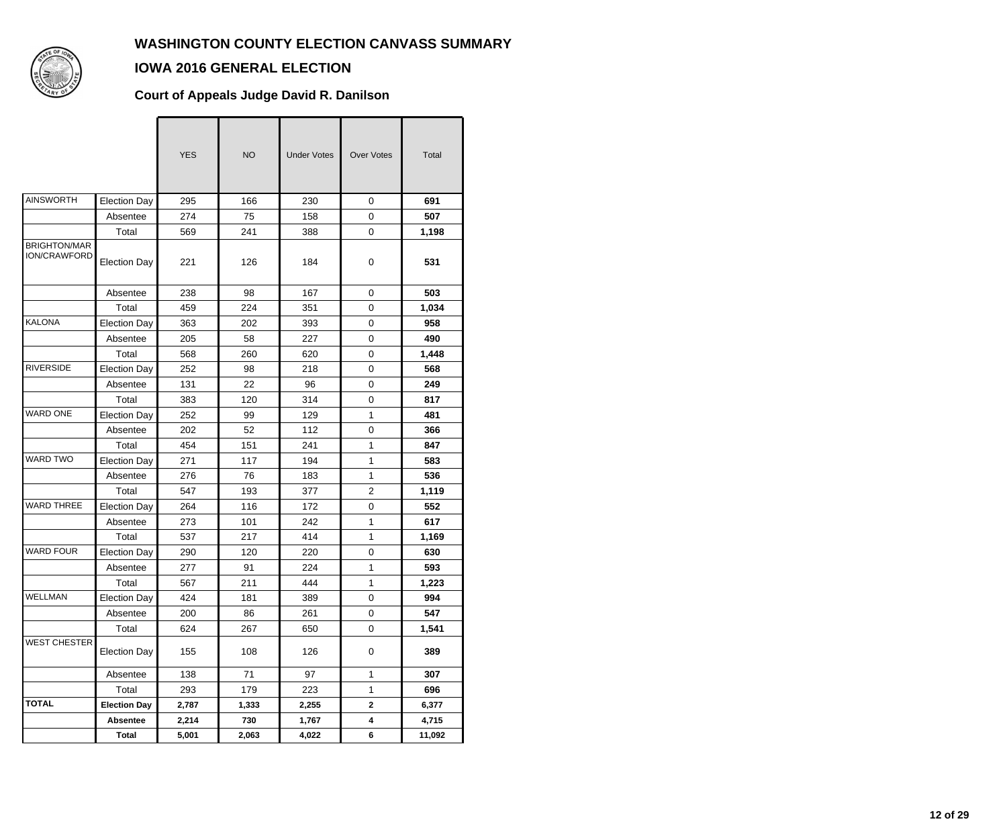

### **IOWA 2016 GENERAL ELECTION**

#### **Court of Appeals Judge David R. Danilson**

|                                            |                     | <b>YES</b> | <b>NO</b> | <b>Under Votes</b> | <b>Over Votes</b> | Total  |
|--------------------------------------------|---------------------|------------|-----------|--------------------|-------------------|--------|
| <b>AINSWORTH</b>                           | <b>Election Day</b> | 295        | 166       | 230                | $\mathbf 0$       | 691    |
|                                            | Absentee            | 274        | 75        | 158                | $\mathbf 0$       | 507    |
|                                            | Total               | 569        | 241       | 388                | 0                 | 1,198  |
| <b>BRIGHTON/MAR</b><br><b>ION/CRAWFORD</b> | <b>Election Day</b> | 221        | 126       | 184                | 0                 | 531    |
|                                            | Absentee            | 238        | 98        | 167                | $\mathbf 0$       | 503    |
|                                            | Total               | 459        | 224       | 351                | $\mathbf 0$       | 1,034  |
| <b>KALONA</b>                              | <b>Election Day</b> | 363        | 202       | 393                | $\mathbf 0$       | 958    |
|                                            | Absentee            | 205        | 58        | 227                | 0                 | 490    |
|                                            | Total               | 568        | 260       | 620                | 0                 | 1,448  |
| <b>RIVERSIDE</b>                           | <b>Election Day</b> | 252        | 98        | 218                | $\mathbf 0$       | 568    |
|                                            | Absentee            | 131        | 22        | 96                 | $\mathbf 0$       | 249    |
|                                            | Total               | 383        | 120       | 314                | 0                 | 817    |
| <b>WARD ONE</b>                            | <b>Election Day</b> | 252        | 99        | 129                | 1                 | 481    |
|                                            | Absentee            | 202        | 52        | 112                | 0                 | 366    |
|                                            | Total               | 454        | 151       | 241                | 1                 | 847    |
| <b>WARD TWO</b>                            | <b>Election Day</b> | 271        | 117       | 194                | 1                 | 583    |
|                                            | Absentee            | 276        | 76        | 183                | 1                 | 536    |
|                                            | Total               | 547        | 193       | 377                | 2                 | 1,119  |
| <b>WARD THREE</b>                          | <b>Election Day</b> | 264        | 116       | 172                | 0                 | 552    |
|                                            | Absentee            | 273        | 101       | 242                | 1                 | 617    |
|                                            | Total               | 537        | 217       | 414                | 1                 | 1,169  |
| <b>WARD FOUR</b>                           | <b>Election Day</b> | 290        | 120       | 220                | $\mathbf 0$       | 630    |
|                                            | Absentee            | 277        | 91        | 224                | 1                 | 593    |
|                                            | Total               | 567        | 211       | 444                | $\mathbf{1}$      | 1,223  |
| WELLMAN                                    | <b>Election Day</b> | 424        | 181       | 389                | $\pmb{0}$         | 994    |
|                                            | Absentee            | 200        | 86        | 261                | 0                 | 547    |
|                                            | Total               | 624        | 267       | 650                | $\pmb{0}$         | 1,541  |
| <b>WEST CHESTER</b>                        | <b>Election Day</b> | 155        | 108       | 126                | $\pmb{0}$         | 389    |
|                                            | Absentee            | 138        | 71        | 97                 | $\mathbf{1}$      | 307    |
|                                            | Total               | 293        | 179       | 223                | 1                 | 696    |
| <b>TOTAL</b>                               | <b>Election Day</b> | 2,787      | 1,333     | 2,255              | $\mathbf 2$       | 6,377  |
|                                            | <b>Absentee</b>     | 2,214      | 730       | 1,767              | 4                 | 4,715  |
|                                            | <b>Total</b>        | 5,001      | 2,063     | 4,022              | 6                 | 11,092 |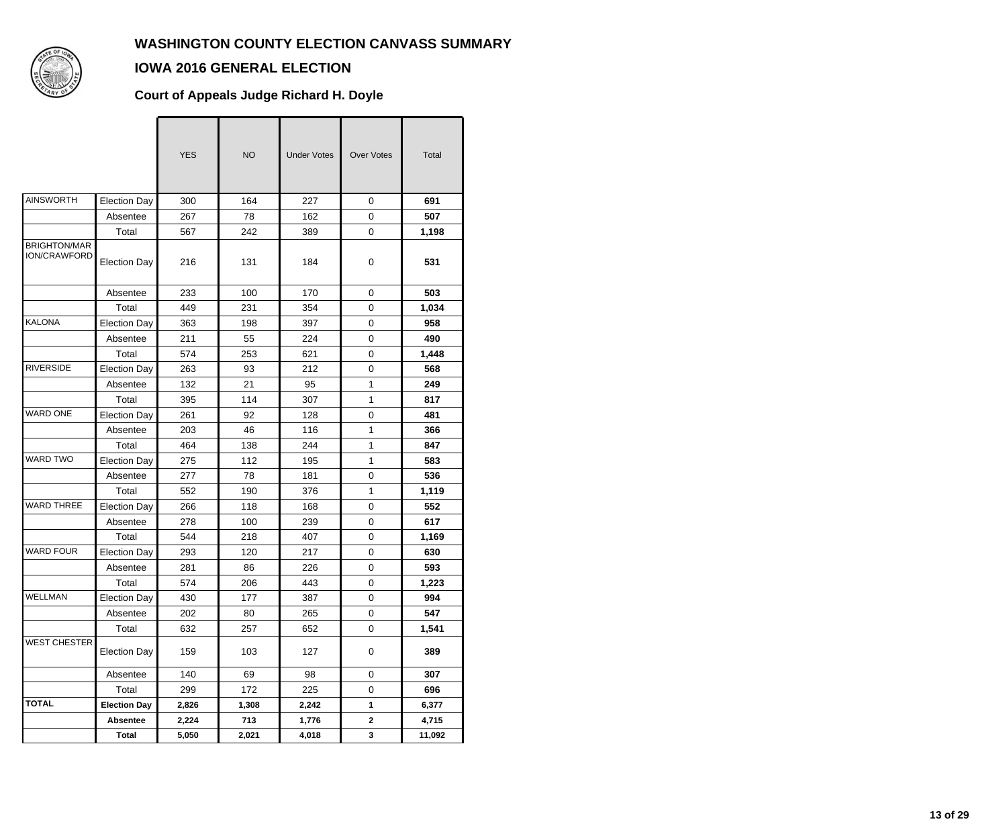

## **IOWA 2016 GENERAL ELECTION**

#### **Court of Appeals Judge Richard H. Doyle**

|                                     |                     | <b>YES</b> | <b>NO</b> | <b>Under Votes</b> | <b>Over Votes</b> | Total  |
|-------------------------------------|---------------------|------------|-----------|--------------------|-------------------|--------|
| <b>AINSWORTH</b>                    | <b>Election Day</b> | 300        | 164       | 227                | 0                 | 691    |
|                                     | Absentee            | 267        | 78        | 162                | $\mathbf 0$       | 507    |
|                                     | Total               | 567        | 242       | 389                | 0                 | 1,198  |
| <b>BRIGHTON/MAR</b><br>ION/CRAWFORD | <b>Election Day</b> | 216        | 131       | 184                | 0                 | 531    |
|                                     | Absentee            | 233        | 100       | 170                | 0                 | 503    |
|                                     | Total               | 449        | 231       | 354                | 0                 | 1,034  |
| <b>KALONA</b>                       | <b>Election Day</b> | 363        | 198       | 397                | 0                 | 958    |
|                                     | Absentee            | 211        | 55        | 224                | $\mathbf 0$       | 490    |
|                                     | Total               | 574        | 253       | 621                | 0                 | 1,448  |
| <b>RIVERSIDE</b>                    | <b>Election Day</b> | 263        | 93        | 212                | 0                 | 568    |
|                                     | Absentee            | 132        | 21        | 95                 | 1                 | 249    |
|                                     | Total               | 395        | 114       | 307                | $\mathbf{1}$      | 817    |
| <b>WARD ONE</b>                     | <b>Election Day</b> | 261        | 92        | 128                | $\mathbf 0$       | 481    |
|                                     | Absentee            | 203        | 46        | 116                | $\mathbf{1}$      | 366    |
|                                     | Total               | 464        | 138       | 244                | 1                 | 847    |
| WARD TWO                            | <b>Election Day</b> | 275        | 112       | 195                | 1                 | 583    |
|                                     | Absentee            | 277        | 78        | 181                | 0                 | 536    |
|                                     | Total               | 552        | 190       | 376                | $\mathbf{1}$      | 1,119  |
| <b>WARD THREE</b>                   | <b>Election Day</b> | 266        | 118       | 168                | 0                 | 552    |
|                                     | Absentee            | 278        | 100       | 239                | 0                 | 617    |
|                                     | Total               | 544        | 218       | 407                | 0                 | 1,169  |
| <b>WARD FOUR</b>                    | <b>Election Day</b> | 293        | 120       | 217                | 0                 | 630    |
|                                     | Absentee            | 281        | 86        | 226                | $\mathbf 0$       | 593    |
|                                     | Total               | 574        | 206       | 443                | 0                 | 1,223  |
| <b>WELLMAN</b>                      | Election Day        | 430        | 177       | 387                | $\mathbf 0$       | 994    |
|                                     | Absentee            | 202        | 80        | 265                | 0                 | 547    |
|                                     | Total               | 632        | 257       | 652                | $\mathbf 0$       | 1,541  |
| <b>WEST CHESTER</b>                 | <b>Election Day</b> | 159        | 103       | 127                | 0                 | 389    |
|                                     | Absentee            | 140        | 69        | 98                 | 0                 | 307    |
|                                     | Total               | 299        | 172       | 225                | 0                 | 696    |
| <b>TOTAL</b>                        | <b>Election Day</b> | 2,826      | 1,308     | 2,242              | 1                 | 6,377  |
|                                     | <b>Absentee</b>     | 2,224      | 713       | 1,776              | $\mathbf{2}$      | 4,715  |
|                                     | <b>Total</b>        | 5,050      | 2,021     | 4,018              | 3                 | 11,092 |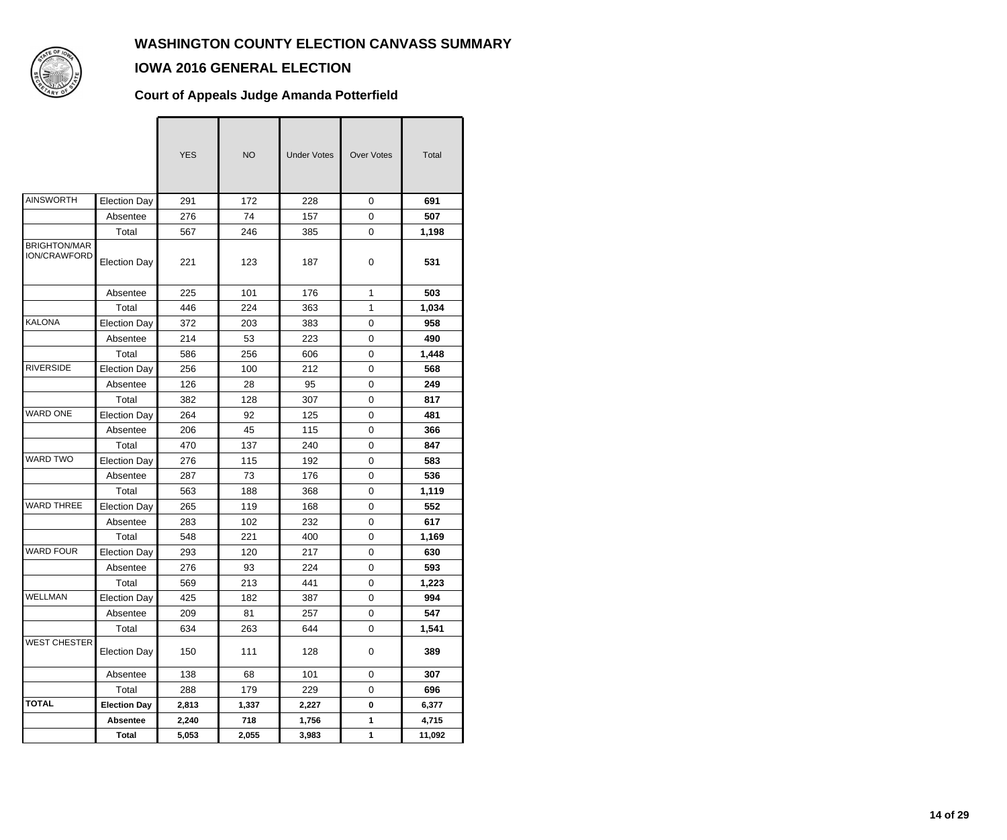

### **IOWA 2016 GENERAL ELECTION**

#### **Court of Appeals Judge Amanda Potterfield**

|                                            |                     | <b>YES</b> | <b>NO</b> | <b>Under Votes</b> | <b>Over Votes</b> | Total  |
|--------------------------------------------|---------------------|------------|-----------|--------------------|-------------------|--------|
| <b>AINSWORTH</b>                           | <b>Election Day</b> | 291        | 172       | 228                | 0                 | 691    |
|                                            | Absentee            | 276        | 74        | 157                | 0                 | 507    |
|                                            | Total               | 567        | 246       | 385                | 0                 | 1,198  |
| <b>BRIGHTON/MAR</b><br><b>ION/CRAWFORD</b> | <b>Election Day</b> | 221        | 123       | 187                | 0                 | 531    |
|                                            | Absentee            | 225        | 101       | 176                | $\mathbf{1}$      | 503    |
|                                            | Total               | 446        | 224       | 363                | $\mathbf{1}$      | 1,034  |
| KALONA                                     | <b>Election Day</b> | 372        | 203       | 383                | 0                 | 958    |
|                                            | Absentee            | 214        | 53        | 223                | 0                 | 490    |
|                                            | Total               | 586        | 256       | 606                | 0                 | 1,448  |
| <b>RIVERSIDE</b>                           | <b>Election Day</b> | 256        | 100       | 212                | 0                 | 568    |
|                                            | Absentee            | 126        | 28        | 95                 | 0                 | 249    |
|                                            | Total               | 382        | 128       | 307                | 0                 | 817    |
| <b>WARD ONE</b>                            | <b>Election Day</b> | 264        | 92        | 125                | 0                 | 481    |
|                                            | Absentee            | 206        | 45        | 115                | 0                 | 366    |
|                                            | Total               | 470        | 137       | 240                | 0                 | 847    |
| <b>WARD TWO</b>                            | <b>Election Day</b> | 276        | 115       | 192                | 0                 | 583    |
|                                            | Absentee            | 287        | 73        | 176                | 0                 | 536    |
|                                            | Total               | 563        | 188       | 368                | 0                 | 1,119  |
| <b>WARD THREE</b>                          | <b>Election Day</b> | 265        | 119       | 168                | 0                 | 552    |
|                                            | Absentee            | 283        | 102       | 232                | 0                 | 617    |
|                                            | Total               | 548        | 221       | 400                | 0                 | 1,169  |
| <b>WARD FOUR</b>                           | <b>Election Day</b> | 293        | 120       | 217                | 0                 | 630    |
|                                            | Absentee            | 276        | 93        | 224                | 0                 | 593    |
|                                            | Total               | 569        | 213       | 441                | 0                 | 1,223  |
| <b>WELLMAN</b>                             | <b>Election Day</b> | 425        | 182       | 387                | 0                 | 994    |
|                                            | Absentee            | 209        | 81        | 257                | 0                 | 547    |
|                                            | Total               | 634        | 263       | 644                | 0                 | 1,541  |
| <b>WEST CHESTER</b>                        | <b>Election Day</b> | 150        | 111       | 128                | 0                 | 389    |
|                                            | Absentee            | 138        | 68        | 101                | 0                 | 307    |
|                                            | Total               | 288        | 179       | 229                | 0                 | 696    |
| <b>TOTAL</b>                               | <b>Election Day</b> | 2,813      | 1,337     | 2,227              | 0                 | 6,377  |
|                                            | <b>Absentee</b>     | 2,240      | 718       | 1,756              | 1                 | 4,715  |
|                                            | <b>Total</b>        | 5,053      | 2,055     | 3,983              | 1                 | 11,092 |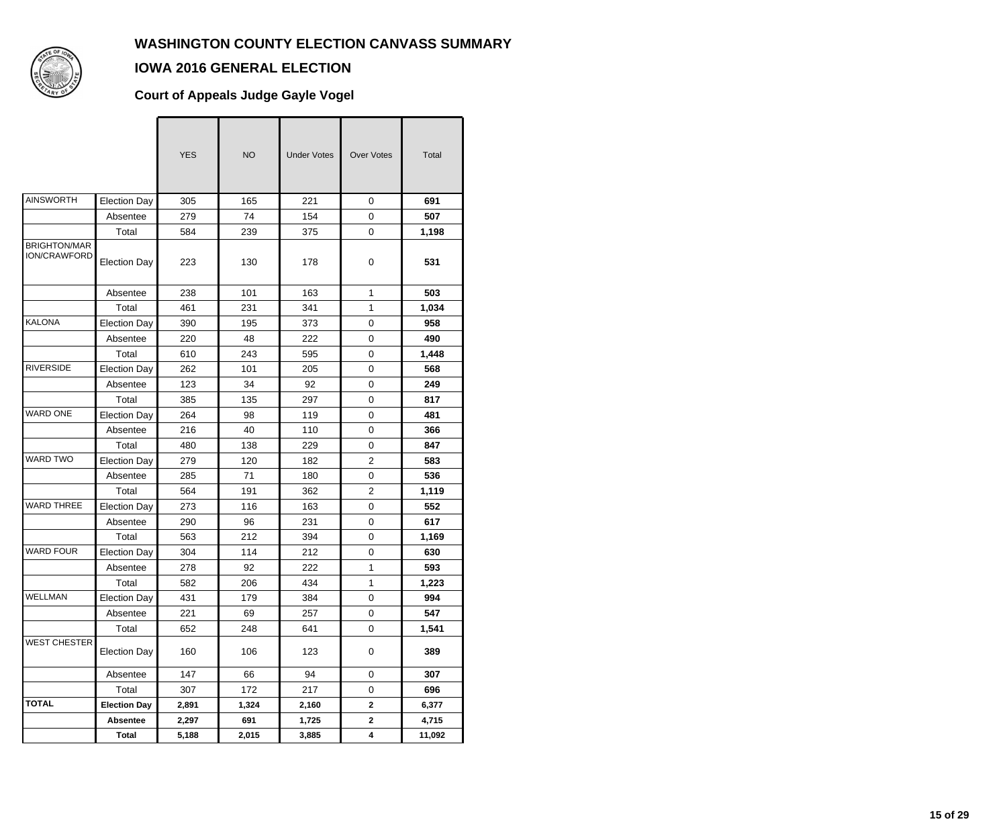

## **IOWA 2016 GENERAL ELECTION**

### **Court of Appeals Judge Gayle Vogel**

|                                     |                     | <b>YES</b> | <b>NO</b> | <b>Under Votes</b> | <b>Over Votes</b> | Total  |
|-------------------------------------|---------------------|------------|-----------|--------------------|-------------------|--------|
| <b>AINSWORTH</b>                    | <b>Election Day</b> | 305        | 165       | 221                | 0                 | 691    |
|                                     | Absentee            | 279        | 74        | 154                | 0                 | 507    |
|                                     | Total               | 584        | 239       | 375                | 0                 | 1,198  |
| <b>BRIGHTON/MAR</b><br>ION/CRAWFORD | <b>Election Day</b> | 223        | 130       | 178                | 0                 | 531    |
|                                     | Absentee            | 238        | 101       | 163                | $\mathbf{1}$      | 503    |
|                                     | Total               | 461        | 231       | 341                | 1                 | 1,034  |
| <b>KALONA</b>                       | <b>Election Day</b> | 390        | 195       | 373                | 0                 | 958    |
|                                     | Absentee            | 220        | 48        | 222                | 0                 | 490    |
|                                     | Total               | 610        | 243       | 595                | 0                 | 1,448  |
| <b>RIVERSIDE</b>                    | <b>Election Day</b> | 262        | 101       | 205                | $\mathbf 0$       | 568    |
|                                     | Absentee            | 123        | 34        | 92                 | 0                 | 249    |
|                                     | Total               | 385        | 135       | 297                | 0                 | 817    |
| <b>WARD ONE</b>                     | <b>Election Day</b> | 264        | 98        | 119                | 0                 | 481    |
|                                     | Absentee            | 216        | 40        | 110                | 0                 | 366    |
|                                     | Total               | 480        | 138       | 229                | $\mathbf 0$       | 847    |
| WARD TWO                            | <b>Election Day</b> | 279        | 120       | 182                | $\overline{2}$    | 583    |
|                                     | Absentee            | 285        | 71        | 180                | 0                 | 536    |
|                                     | Total               | 564        | 191       | 362                | $\overline{c}$    | 1,119  |
| <b>WARD THREE</b>                   | <b>Election Day</b> | 273        | 116       | 163                | 0                 | 552    |
|                                     | Absentee            | 290        | 96        | 231                | $\mathbf 0$       | 617    |
|                                     | Total               | 563        | 212       | 394                | 0                 | 1,169  |
| <b>WARD FOUR</b>                    | <b>Election Day</b> | 304        | 114       | 212                | 0                 | 630    |
|                                     | Absentee            | 278        | 92        | 222                | 1                 | 593    |
|                                     | Total               | 582        | 206       | 434                | 1                 | 1,223  |
| <b>WELLMAN</b>                      | <b>Election Day</b> | 431        | 179       | 384                | 0                 | 994    |
|                                     | Absentee            | 221        | 69        | 257                | 0                 | 547    |
|                                     | Total               | 652        | 248       | 641                | 0                 | 1,541  |
| <b>WEST CHESTER</b>                 | <b>Election Day</b> | 160        | 106       | 123                | 0                 | 389    |
|                                     | Absentee            | 147        | 66        | 94                 | 0                 | 307    |
|                                     | Total               | 307        | 172       | 217                | 0                 | 696    |
| <b>TOTAL</b>                        | <b>Election Day</b> | 2,891      | 1,324     | 2,160              | $\mathbf{2}$      | 6,377  |
|                                     | Absentee            | 2,297      | 691       | 1,725              | $\mathbf{2}$      | 4,715  |
|                                     | <b>Total</b>        | 5,188      | 2,015     | 3,885              | 4                 | 11,092 |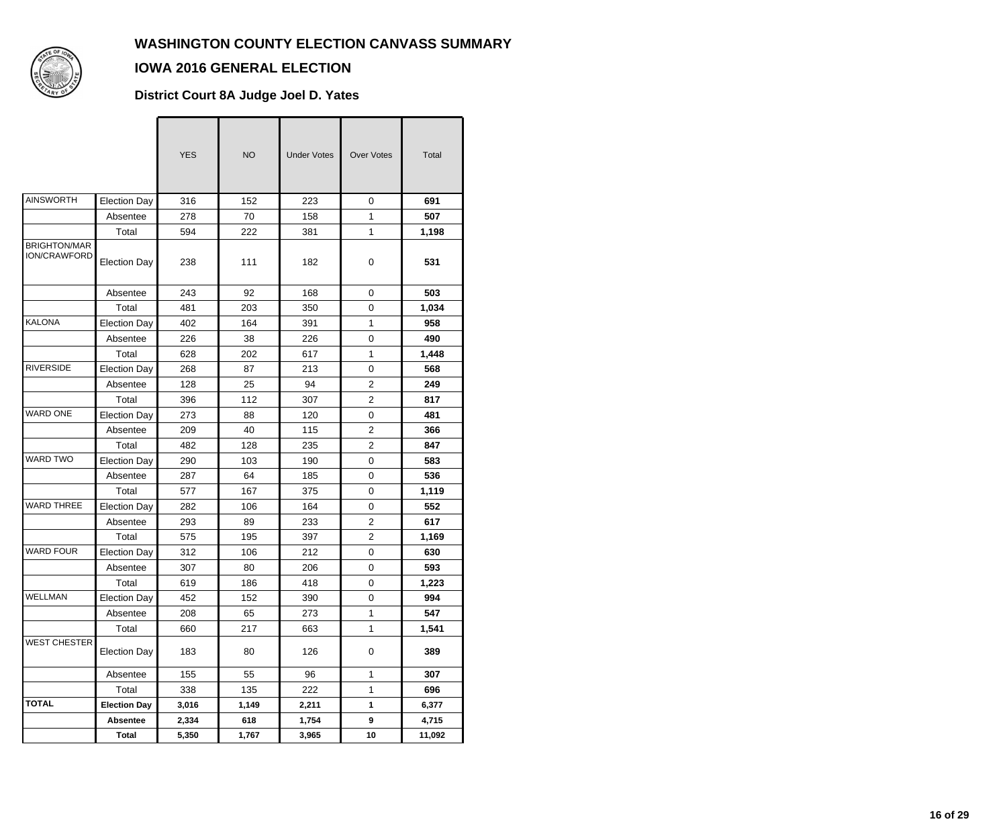

### **IOWA 2016 GENERAL ELECTION**

#### **District Court 8A Judge Joel D. Yates**

|                                            |                              | <b>YES</b> | <b>NO</b>  | <b>Under Votes</b> | <b>Over Votes</b> | Total        |
|--------------------------------------------|------------------------------|------------|------------|--------------------|-------------------|--------------|
| <b>AINSWORTH</b>                           | <b>Election Day</b>          | 316        | 152        | 223                | 0                 | 691          |
|                                            | Absentee                     | 278        | 70         | 158                | $\mathbf{1}$      | 507          |
| <b>BRIGHTON/MAR</b><br><b>ION/CRAWFORD</b> | Total<br><b>Election Day</b> | 594<br>238 | 222<br>111 | 381<br>182         | $\mathbf{1}$<br>0 | 1,198<br>531 |
|                                            | Absentee                     | 243        | 92         | 168                | $\mathbf 0$       | 503          |
|                                            | Total                        | 481        | 203        | 350                | $\mathbf 0$       | 1,034        |
| <b>KALONA</b>                              | <b>Election Day</b>          | 402        | 164        | 391                | 1                 | 958          |
|                                            | Absentee                     | 226        | 38         | 226                | 0                 | 490          |
|                                            | Total                        | 628        | 202        | 617                | $\mathbf{1}$      | 1,448        |
| <b>RIVERSIDE</b>                           | <b>Election Day</b>          | 268        | 87         | 213                | 0                 | 568          |
|                                            | Absentee                     | 128        | 25         | 94                 | $\overline{2}$    | 249          |
|                                            | Total                        | 396        | 112        | 307                | $\overline{2}$    | 817          |
| <b>WARD ONE</b>                            | <b>Election Day</b>          | 273        | 88         | 120                | 0                 | 481          |
|                                            | Absentee                     | 209        | 40         | 115                | $\overline{2}$    | 366          |
|                                            | Total                        | 482        | 128        | 235                | $\overline{2}$    | 847          |
| <b>WARD TWO</b>                            | <b>Election Day</b>          | 290        | 103        | 190                | $\mathbf 0$       | 583          |
|                                            | Absentee                     | 287        | 64         | 185                | 0                 | 536          |
|                                            | Total                        | 577        | 167        | 375                | 0                 | 1,119        |
| <b>WARD THREE</b>                          | <b>Election Day</b>          | 282        | 106        | 164                | 0                 | 552          |
|                                            | Absentee                     | 293        | 89         | 233                | $\overline{c}$    | 617          |
|                                            | Total                        | 575        | 195        | 397                | $\overline{2}$    | 1,169        |
| <b>WARD FOUR</b>                           | <b>Election Day</b>          | 312        | 106        | 212                | $\mathbf 0$       | 630          |
|                                            | Absentee                     | 307        | 80         | 206                | 0                 | 593          |
|                                            | Total                        | 619        | 186        | 418                | 0                 | 1,223        |
| WELLMAN                                    | <b>Election Day</b>          | 452        | 152        | 390                | 0                 | 994          |
|                                            | Absentee                     | 208        | 65         | 273                | 1                 | 547          |
|                                            | Total                        | 660        | 217        | 663                | $\mathbf{1}$      | 1,541        |
| <b>WEST CHESTER</b>                        | <b>Election Day</b>          | 183        | 80         | 126                | 0                 | 389          |
|                                            | Absentee                     | 155        | 55         | 96                 | 1                 | 307          |
|                                            | Total                        | 338        | 135        | 222                | 1                 | 696          |
| <b>TOTAL</b>                               | <b>Election Day</b>          | 3,016      | 1,149      | 2,211              | 1                 | 6,377        |
|                                            | <b>Absentee</b>              | 2,334      | 618        | 1,754              | 9                 | 4,715        |
|                                            | <b>Total</b>                 | 5,350      | 1,767      | 3,965              | 10                | 11,092       |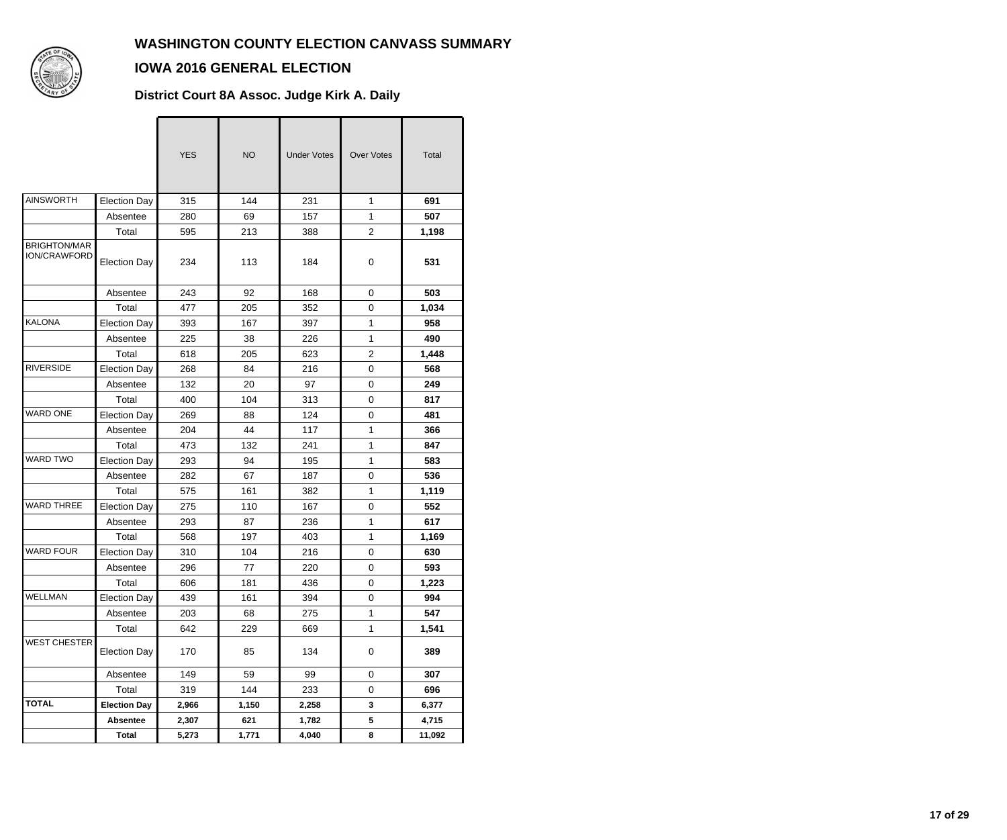

### **IOWA 2016 GENERAL ELECTION**

#### **District Court 8A Assoc. Judge Kirk A. Daily**

|                                            |                     | <b>YES</b> | <b>NO</b> | <b>Under Votes</b> | <b>Over Votes</b> | Total  |
|--------------------------------------------|---------------------|------------|-----------|--------------------|-------------------|--------|
| <b>AINSWORTH</b>                           | <b>Election Day</b> | 315        | 144       | 231                | $\mathbf{1}$      | 691    |
|                                            | Absentee            | 280        | 69        | 157                | 1                 | 507    |
|                                            | Total               | 595        | 213       | 388                | $\overline{2}$    | 1,198  |
| <b>BRIGHTON/MAR</b><br><b>ION/CRAWFORD</b> | <b>Election Day</b> | 234        | 113       | 184                | 0                 | 531    |
|                                            | Absentee            | 243        | 92        | 168                | 0                 | 503    |
|                                            | Total               | 477        | 205       | 352                | $\mathbf 0$       | 1,034  |
| KALONA                                     | <b>Election Day</b> | 393        | 167       | 397                | 1                 | 958    |
|                                            | Absentee            | 225        | 38        | 226                | $\mathbf{1}$      | 490    |
|                                            | Total               | 618        | 205       | 623                | $\overline{2}$    | 1,448  |
| <b>RIVERSIDE</b>                           | <b>Election Day</b> | 268        | 84        | 216                | 0                 | 568    |
|                                            | Absentee            | 132        | 20        | 97                 | $\mathbf 0$       | 249    |
|                                            | Total               | 400        | 104       | 313                | $\mathbf 0$       | 817    |
| WARD ONE                                   | <b>Election Day</b> | 269        | 88        | 124                | $\mathbf 0$       | 481    |
|                                            | Absentee            | 204        | 44        | 117                | 1                 | 366    |
|                                            | Total               | 473        | 132       | 241                | 1                 | 847    |
| <b>WARD TWO</b>                            | <b>Election Day</b> | 293        | 94        | 195                | 1                 | 583    |
|                                            | Absentee            | 282        | 67        | 187                | 0                 | 536    |
|                                            | Total               | 575        | 161       | 382                | 1                 | 1,119  |
| <b>WARD THREE</b>                          | <b>Election Day</b> | 275        | 110       | 167                | $\mathbf 0$       | 552    |
|                                            | Absentee            | 293        | 87        | 236                | $\mathbf{1}$      | 617    |
|                                            | Total               | 568        | 197       | 403                | 1                 | 1,169  |
| <b>WARD FOUR</b>                           | <b>Election Day</b> | 310        | 104       | 216                | 0                 | 630    |
|                                            | Absentee            | 296        | 77        | 220                | 0                 | 593    |
|                                            | Total               | 606        | 181       | 436                | $\pmb{0}$         | 1,223  |
| WELLMAN                                    | <b>Election Day</b> | 439        | 161       | 394                | 0                 | 994    |
|                                            | Absentee            | 203        | 68        | 275                | 1                 | 547    |
|                                            | Total               | 642        | 229       | 669                | 1                 | 1,541  |
| <b>WEST CHESTER</b>                        | <b>Election Day</b> | 170        | 85        | 134                | 0                 | 389    |
|                                            | Absentee            | 149        | 59        | 99                 | 0                 | 307    |
|                                            | Total               | 319        | 144       | 233                | 0                 | 696    |
| <b>TOTAL</b>                               | <b>Election Day</b> | 2,966      | 1,150     | 2,258              | 3                 | 6,377  |
|                                            | Absentee            | 2,307      | 621       | 1,782              | 5                 | 4,715  |
|                                            | <b>Total</b>        | 5,273      | 1,771     | 4,040              | 8                 | 11,092 |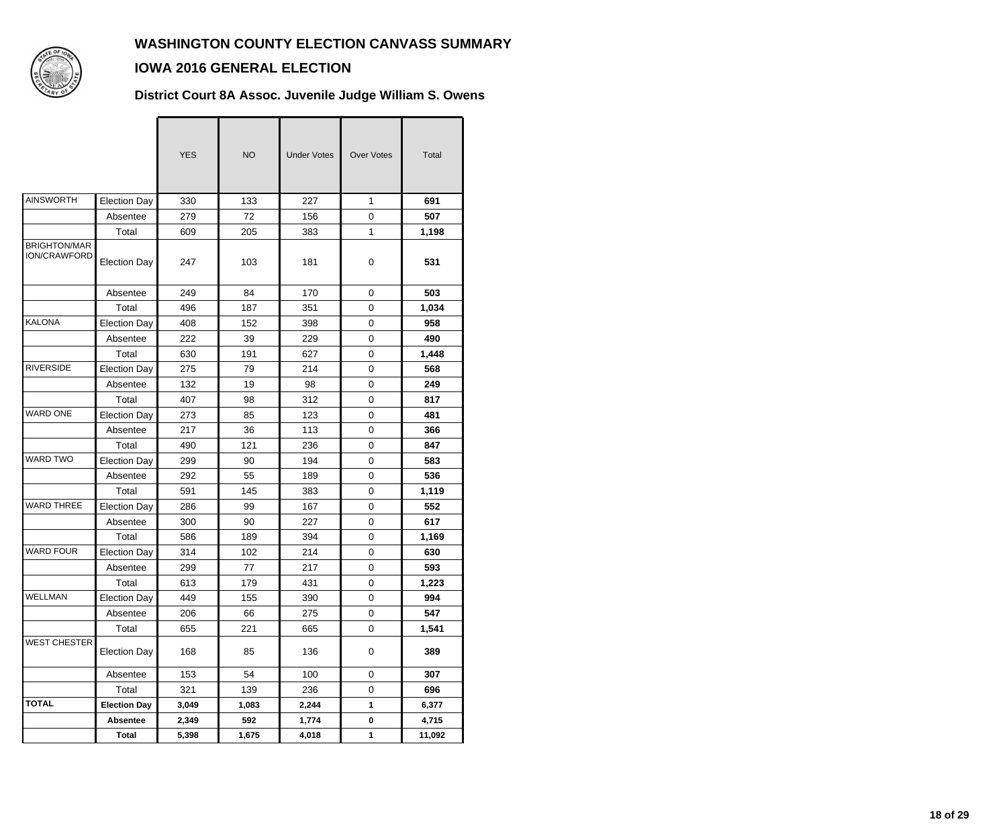

#### **IOWA 2016 GENERAL ELECTION**

**District Court 8A Assoc. Juvenile Judge William S. Owens**

|                                            |                     | <b>YES</b> | <b>NO</b> | <b>Under Votes</b> | <b>Over Votes</b> | Total  |
|--------------------------------------------|---------------------|------------|-----------|--------------------|-------------------|--------|
| <b>AINSWORTH</b>                           | <b>Election Day</b> | 330        | 133       | 227                | $\mathbf{1}$      | 691    |
|                                            | Absentee            | 279        | 72        | 156                | 0                 | 507    |
|                                            | Total               | 609        | 205       | 383                | $\mathbf{1}$      | 1,198  |
| <b>BRIGHTON/MAR</b><br><b>ION/CRAWFORD</b> | <b>Election Day</b> | 247        | 103       | 181                | 0                 | 531    |
|                                            | Absentee            | 249        | 84        | 170                | $\mathbf 0$       | 503    |
|                                            | Total               | 496        | 187       | 351                | 0                 | 1,034  |
| <b>KALONA</b>                              | <b>Election Day</b> | 408        | 152       | 398                | $\pmb{0}$         | 958    |
|                                            | Absentee            | 222        | 39        | 229                | $\mathbf 0$       | 490    |
|                                            | Total               | 630        | 191       | 627                | $\mathbf 0$       | 1,448  |
| <b>RIVERSIDE</b>                           | <b>Election Day</b> | 275        | 79        | 214                | 0                 | 568    |
|                                            | Absentee            | 132        | 19        | 98                 | 0                 | 249    |
|                                            | Total               | 407        | 98        | 312                | $\pmb{0}$         | 817    |
| <b>WARD ONE</b>                            | <b>Election Day</b> | 273        | 85        | 123                | $\mathbf 0$       | 481    |
|                                            | Absentee            | 217        | 36        | 113                | $\mathbf 0$       | 366    |
|                                            | Total               | 490        | 121       | 236                | 0                 | 847    |
| <b>WARD TWO</b>                            | <b>Election Day</b> | 299        | 90        | 194                | 0                 | 583    |
|                                            | Absentee            | 292        | 55        | 189                | $\pmb{0}$         | 536    |
|                                            | Total               | 591        | 145       | 383                | 0                 | 1,119  |
| <b>WARD THREE</b>                          | <b>Election Day</b> | 286        | 99        | 167                | $\mathbf 0$       | 552    |
|                                            | Absentee            | 300        | 90        | 227                | 0                 | 617    |
|                                            | Total               | 586        | 189       | 394                | 0                 | 1,169  |
| <b>WARD FOUR</b>                           | <b>Election Day</b> | 314        | 102       | 214                | $\pmb{0}$         | 630    |
|                                            | Absentee            | 299        | 77        | 217                | $\pmb{0}$         | 593    |
|                                            | Total               | 613        | 179       | 431                | 0                 | 1,223  |
| WELLMAN                                    | Election Day        | 449        | 155       | 390                | O                 | 994    |
|                                            | Absentee            | 206        | 66        | 275                | $\mathbf 0$       | 547    |
|                                            | Total               | 655        | 221       | 665                | $\pmb{0}$         | 1,541  |
| <b>WEST CHESTER</b>                        | <b>Election Day</b> | 168        | 85        | 136                | $\pmb{0}$         | 389    |
|                                            | Absentee            | 153        | 54        | 100                | 0                 | 307    |
|                                            | Total               | 321        | 139       | 236                | 0                 | 696    |
| <b>TOTAL</b>                               | <b>Election Day</b> | 3,049      | 1,083     | 2,244              | $\mathbf{1}$      | 6,377  |
|                                            | <b>Absentee</b>     | 2,349      | 592       | 1,774              | $\pmb{0}$         | 4,715  |
|                                            | <b>Total</b>        | 5,398      | 1,675     | 4,018              | 1                 | 11,092 |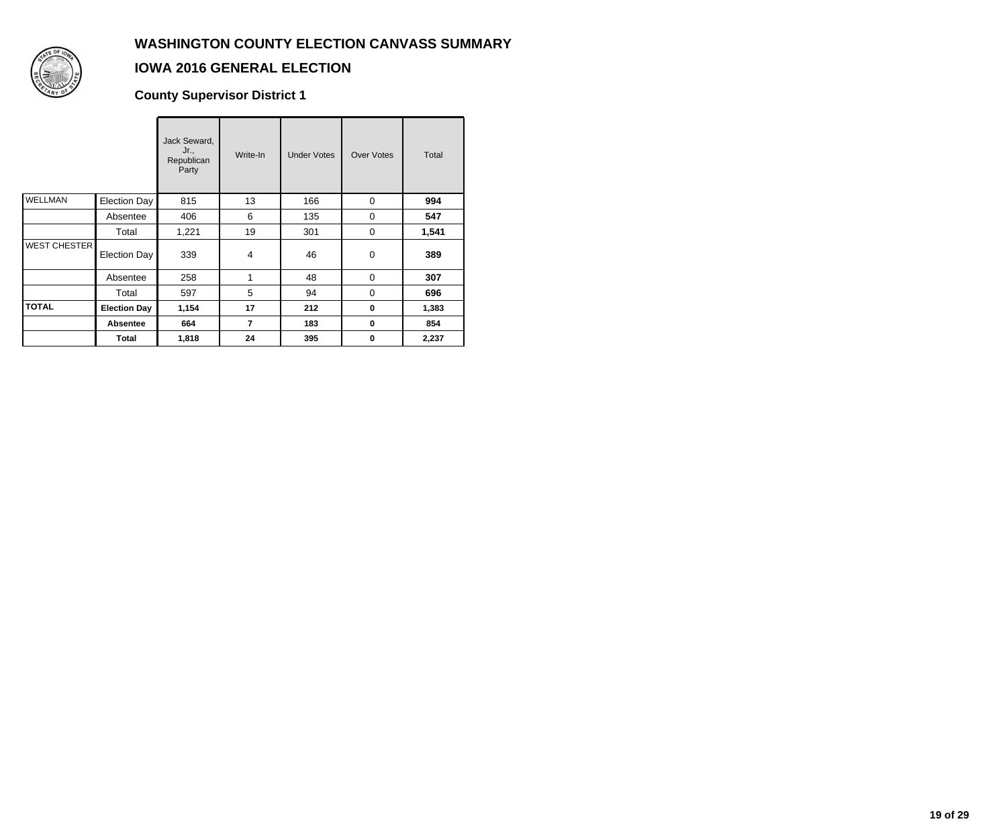

### **IOWA 2016 GENERAL ELECTION**

**County Supervisor District 1**

|                     |                     | Jack Seward,<br>Jr.,<br>Republican<br>Party | Write-In       | <b>Under Votes</b> | <b>Over Votes</b> | Total |
|---------------------|---------------------|---------------------------------------------|----------------|--------------------|-------------------|-------|
| <b>WELLMAN</b>      | <b>Election Day</b> | 815                                         | 13             | 166                | $\Omega$          | 994   |
|                     | Absentee            | 406                                         | 6              | 135                | $\Omega$          | 547   |
|                     | Total               | 1,221                                       | 19             | 301                | 0                 | 1,541 |
| <b>WEST CHESTER</b> | <b>Election Day</b> | 339                                         | 4              | 46                 | 0                 | 389   |
|                     | Absentee            | 258                                         | 1              | 48                 | $\mathbf 0$       | 307   |
|                     | Total               | 597                                         | 5              | 94                 | $\Omega$          | 696   |
| <b>TOTAL</b>        | <b>Election Day</b> | 1,154                                       | 17             | 212                | $\bf{0}$          | 1,383 |
|                     | <b>Absentee</b>     | 664                                         | $\overline{7}$ | 183                | $\bf{0}$          | 854   |
|                     | Total               | 1,818                                       | 24             | 395                | 0                 | 2,237 |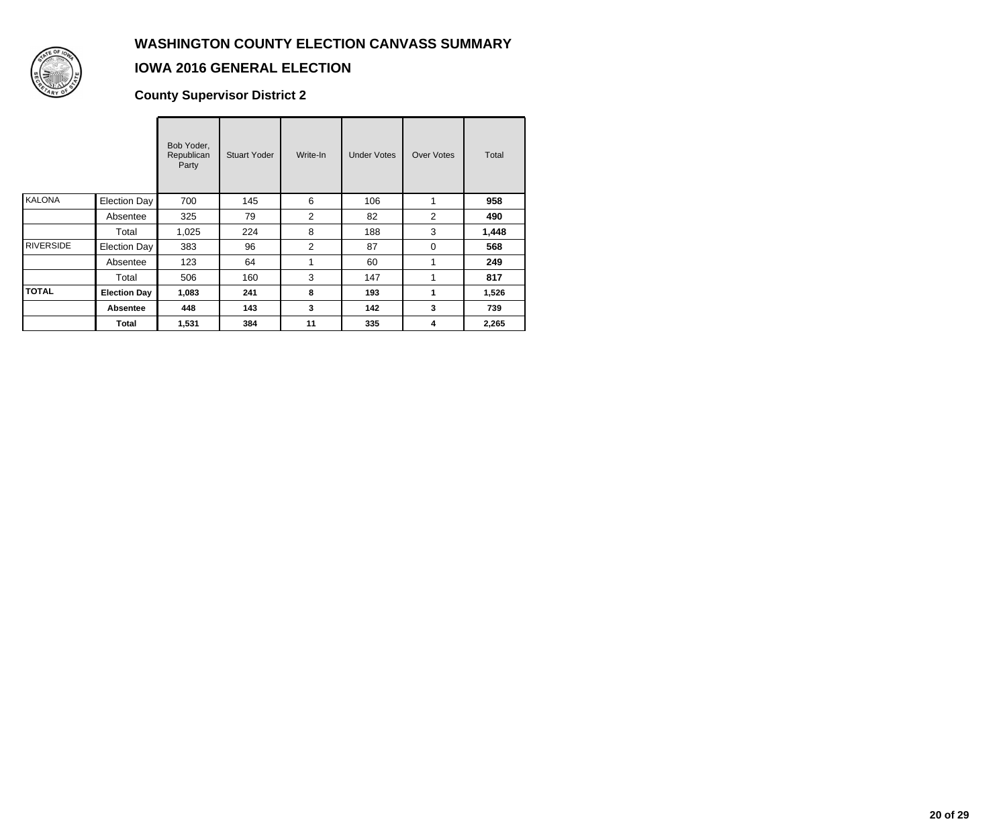

# **IOWA 2016 GENERAL ELECTION**

**County Supervisor District 2**

|                  |                     | Bob Yoder,<br>Republican<br>Party | <b>Stuart Yoder</b> | Write-In       | <b>Under Votes</b> | Over Votes     | Total |
|------------------|---------------------|-----------------------------------|---------------------|----------------|--------------------|----------------|-------|
| KALONA           | Election Day        | 700                               | 145                 | 6              | 106                | 1              | 958   |
|                  | Absentee            | 325                               | 79                  | $\overline{c}$ | 82                 | $\overline{2}$ | 490   |
|                  | Total               | 1,025                             | 224                 | 8              | 188                | 3              | 1,448 |
| <b>RIVERSIDE</b> | Election Day        | 383                               | 96                  | 2              | 87                 | $\Omega$       | 568   |
|                  | Absentee            | 123                               | 64                  | 1              | 60                 | 1              | 249   |
|                  | Total               | 506                               | 160                 | 3              | 147                | 1              | 817   |
| <b>TOTAL</b>     | <b>Election Day</b> | 1,083                             | 241                 | 8              | 193                | 1              | 1,526 |
|                  | <b>Absentee</b>     | 448                               | 143                 | 3              | 142                | 3              | 739   |
|                  | Total               | 1,531                             | 384                 | 11             | 335                | 4              | 2,265 |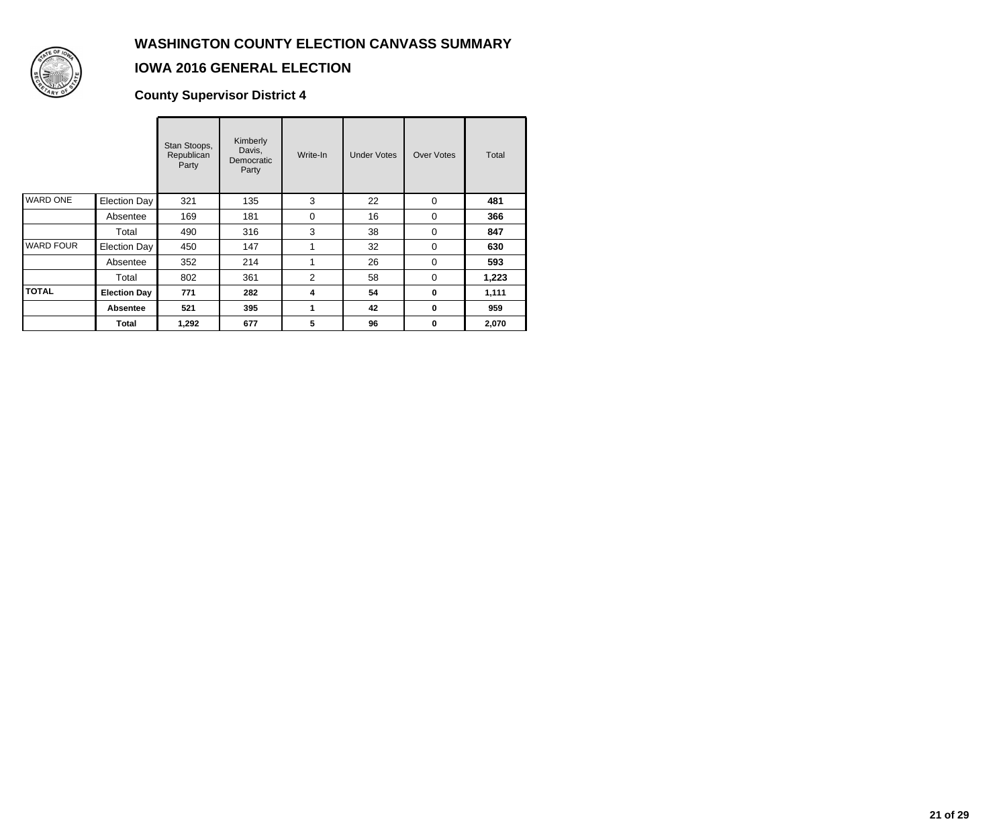

# **IOWA 2016 GENERAL ELECTION**

**County Supervisor District 4**

|                  |                     | Stan Stoops,<br>Republican<br>Party | Kimberly<br>Davis,<br>Democratic<br>Party | Write-In | <b>Under Votes</b> | <b>Over Votes</b> | Total |
|------------------|---------------------|-------------------------------------|-------------------------------------------|----------|--------------------|-------------------|-------|
| <b>WARD ONE</b>  | <b>Election Day</b> | 321                                 | 135                                       | 3        | 22                 | $\mathbf 0$       | 481   |
|                  | Absentee            | 169                                 | 181                                       | 0        | 16                 | 0                 | 366   |
|                  | Total               | 490                                 | 316                                       | 3        | 38                 | $\Omega$          | 847   |
| <b>WARD FOUR</b> | <b>Election Day</b> | 450                                 | 147                                       |          | 32                 | 0                 | 630   |
|                  | Absentee            | 352                                 | 214                                       | 1        | 26                 | $\Omega$          | 593   |
|                  | Total               | 802                                 | 361                                       | 2        | 58                 | $\Omega$          | 1,223 |
| <b>TOTAL</b>     | <b>Election Day</b> | 771                                 | 282                                       | 4        | 54                 | 0                 | 1,111 |
|                  | <b>Absentee</b>     | 521                                 | 395                                       | 1        | 42                 | 0                 | 959   |
|                  | Total               | 1,292                               | 677                                       | 5        | 96                 | 0                 | 2,070 |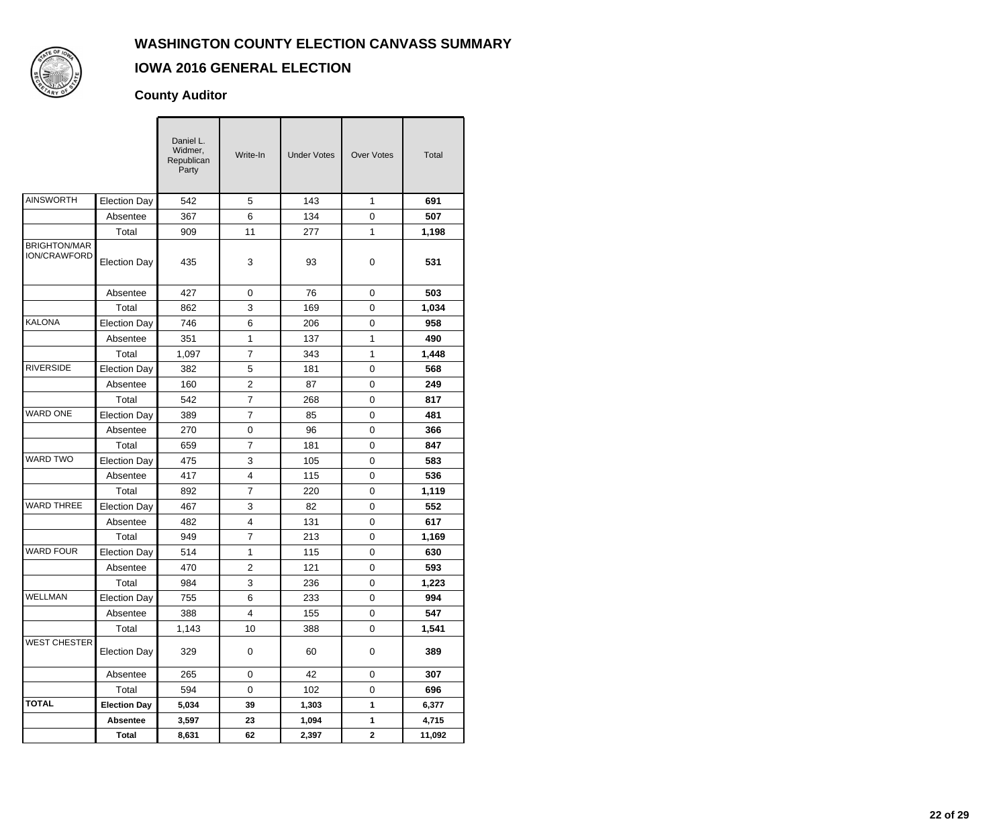

# **IOWA 2016 GENERAL ELECTION**

#### **County Auditor**

|                                     |                     | Daniel L.<br>Widmer,<br>Republican<br>Party | Write-In                | <b>Under Votes</b> | <b>Over Votes</b> | Total  |
|-------------------------------------|---------------------|---------------------------------------------|-------------------------|--------------------|-------------------|--------|
| AINSWORTH                           | <b>Election Day</b> | 542                                         | 5                       | 143                | 1                 | 691    |
|                                     | Absentee            | 367                                         | 6                       | 134                | 0                 | 507    |
|                                     | Total               | 909                                         | 11                      | 277                | 1                 | 1,198  |
| <b>BRIGHTON/MAR</b><br>ION/CRAWFORD | <b>Election Day</b> | 435                                         | 3                       | 93                 | 0                 | 531    |
|                                     | Absentee            | 427                                         | 0                       | 76                 | 0                 | 503    |
|                                     | Total               | 862                                         | 3                       | 169                | 0                 | 1,034  |
| KALONA                              | <b>Election Day</b> | 746                                         | 6                       | 206                | $\mathbf 0$       | 958    |
|                                     | Absentee            | 351                                         | 1                       | 137                | $\mathbf{1}$      | 490    |
|                                     | Total               | 1,097                                       | $\overline{7}$          | 343                | 1                 | 1,448  |
| <b>RIVERSIDE</b>                    | <b>Election Day</b> | 382                                         | 5                       | 181                | 0                 | 568    |
|                                     | Absentee            | 160                                         | $\overline{c}$          | 87                 | 0                 | 249    |
|                                     | Total               | 542                                         | $\overline{7}$          | 268                | $\mathbf 0$       | 817    |
| <b>WARD ONE</b>                     | <b>Election Day</b> | 389                                         | $\overline{7}$          | 85                 | $\mathbf 0$       | 481    |
|                                     | Absentee            | 270                                         | $\pmb{0}$               | 96                 | 0                 | 366    |
|                                     | Total               | 659                                         | $\overline{7}$          | 181                | 0                 | 847    |
| <b>WARD TWO</b>                     | <b>Election Day</b> | 475                                         | 3                       | 105                | 0                 | 583    |
|                                     | Absentee            | 417                                         | $\overline{\mathbf{4}}$ | 115                | $\mathbf 0$       | 536    |
|                                     | Total               | 892                                         | $\overline{7}$          | 220                | 0                 | 1,119  |
| <b>WARD THREE</b>                   | <b>Election Day</b> | 467                                         | 3                       | 82                 | 0                 | 552    |
|                                     | Absentee            | 482                                         | $\overline{4}$          | 131                | 0                 | 617    |
|                                     | Total               | 949                                         | $\overline{7}$          | 213                | 0                 | 1,169  |
| <b>WARD FOUR</b>                    | <b>Election Day</b> | 514                                         | 1                       | 115                | $\mathbf 0$       | 630    |
|                                     | Absentee            | 470                                         | $\overline{c}$          | 121                | 0                 | 593    |
|                                     | Total               | 984                                         | 3                       | 236                | 0                 | 1,223  |
| WELLMAN                             | <b>Election Day</b> | 755                                         | 6                       | 233                | 0                 | 994    |
|                                     | Absentee            | 388                                         | 4                       | 155                | 0                 | 547    |
|                                     | Total               | 1,143                                       | 10                      | 388                | $\mathsf 0$       | 1,541  |
| <b>WEST CHESTER</b>                 | <b>Election Day</b> | 329                                         | $\pmb{0}$               | 60                 | 0                 | 389    |
|                                     | Absentee            | 265                                         | 0                       | 42                 | 0                 | 307    |
|                                     | Total               | 594                                         | 0                       | 102                | 0                 | 696    |
| <b>TOTAL</b>                        | <b>Election Day</b> | 5,034                                       | 39                      | 1,303              | $\mathbf{1}$      | 6,377  |
|                                     | <b>Absentee</b>     | 3,597                                       | 23                      | 1,094              | $\mathbf{1}$      | 4,715  |
|                                     | <b>Total</b>        | 8,631                                       | 62                      | 2,397              | $\mathbf{2}$      | 11,092 |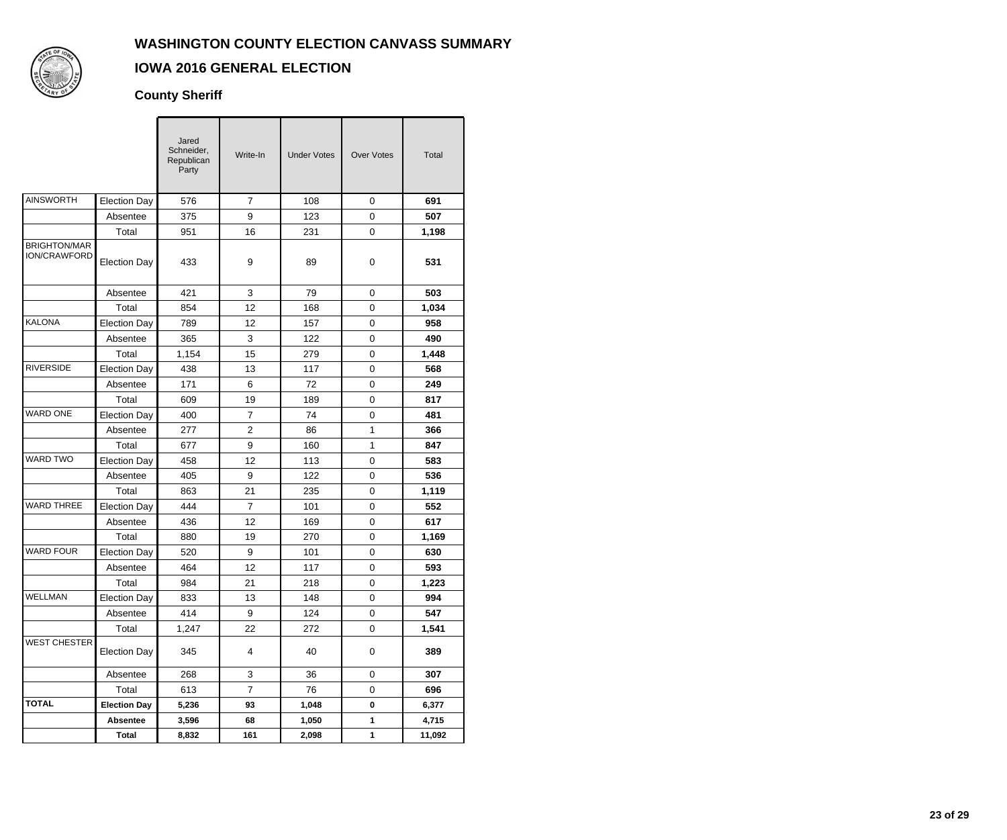

# **IOWA 2016 GENERAL ELECTION**

#### **County Sheriff**

|                                     |                     | Jared<br>Schneider,<br>Republican<br>Party | Write-In       | <b>Under Votes</b> | <b>Over Votes</b> | Total  |
|-------------------------------------|---------------------|--------------------------------------------|----------------|--------------------|-------------------|--------|
| <b>AINSWORTH</b>                    | <b>Election Day</b> | 576                                        | 7              | 108                | 0                 | 691    |
|                                     | Absentee            | 375                                        | 9              | 123                | 0                 | 507    |
|                                     | Total               | 951                                        | 16             | 231                | 0                 | 1,198  |
| <b>BRIGHTON/MAR</b><br>ION/CRAWFORD | <b>Election Day</b> | 433                                        | 9              | 89                 | 0                 | 531    |
|                                     | Absentee            | 421                                        | 3              | 79                 | 0                 | 503    |
|                                     | Total               | 854                                        | 12             | 168                | 0                 | 1,034  |
| <b>KALONA</b>                       | <b>Election Day</b> | 789                                        | 12             | 157                | 0                 | 958    |
|                                     | Absentee            | 365                                        | 3              | 122                | $\mathsf 0$       | 490    |
|                                     | Total               | 1,154                                      | 15             | 279                | 0                 | 1,448  |
| <b>RIVERSIDE</b>                    | <b>Election Day</b> | 438                                        | 13             | 117                | 0                 | 568    |
|                                     | Absentee            | 171                                        | 6              | 72                 | 0                 | 249    |
|                                     | Total               | 609                                        | 19             | 189                | 0                 | 817    |
| <b>WARD ONE</b>                     | <b>Election Day</b> | 400                                        | $\overline{7}$ | 74                 | $\mathsf 0$       | 481    |
|                                     | Absentee            | 277                                        | $\overline{c}$ | 86                 | 1                 | 366    |
|                                     | Total               | 677                                        | 9              | 160                | $\mathbf{1}$      | 847    |
| <b>WARD TWO</b>                     | <b>Election Day</b> | 458                                        | 12             | 113                | 0                 | 583    |
|                                     | Absentee            | 405                                        | 9              | 122                | 0                 | 536    |
|                                     | Total               | 863                                        | 21             | 235                | $\mathsf 0$       | 1,119  |
| <b>WARD THREE</b>                   | <b>Election Day</b> | 444                                        | $\overline{7}$ | 101                | 0                 | 552    |
|                                     | Absentee            | 436                                        | 12             | 169                | 0                 | 617    |
|                                     | Total               | 880                                        | 19             | 270                | 0                 | 1,169  |
| <b>WARD FOUR</b>                    | <b>Election Day</b> | 520                                        | 9              | 101                | 0                 | 630    |
|                                     | Absentee            | 464                                        | 12             | 117                | 0                 | 593    |
|                                     | Total               | 984                                        | 21             | 218                | 0                 | 1,223  |
| WELLMAN                             | <b>Election Day</b> | 833                                        | 13             | 148                | 0                 | 994    |
|                                     | Absentee            | 414                                        | 9              | 124                | 0                 | 547    |
|                                     | Total               | 1,247                                      | 22             | 272                | 0                 | 1,541  |
| <b>WEST CHESTER</b>                 | <b>Election Day</b> | 345                                        | 4              | 40                 | 0                 | 389    |
|                                     | Absentee            | 268                                        | 3              | 36                 | 0                 | 307    |
|                                     | Total               | 613                                        | $\overline{7}$ | 76                 | 0                 | 696    |
| <b>TOTAL</b>                        | <b>Election Day</b> | 5,236                                      | 93             | 1,048              | 0                 | 6,377  |
|                                     | <b>Absentee</b>     | 3,596                                      | 68             | 1,050              | $\mathbf{1}$      | 4,715  |
|                                     | <b>Total</b>        | 8,832                                      | 161            | 2,098              | 1                 | 11,092 |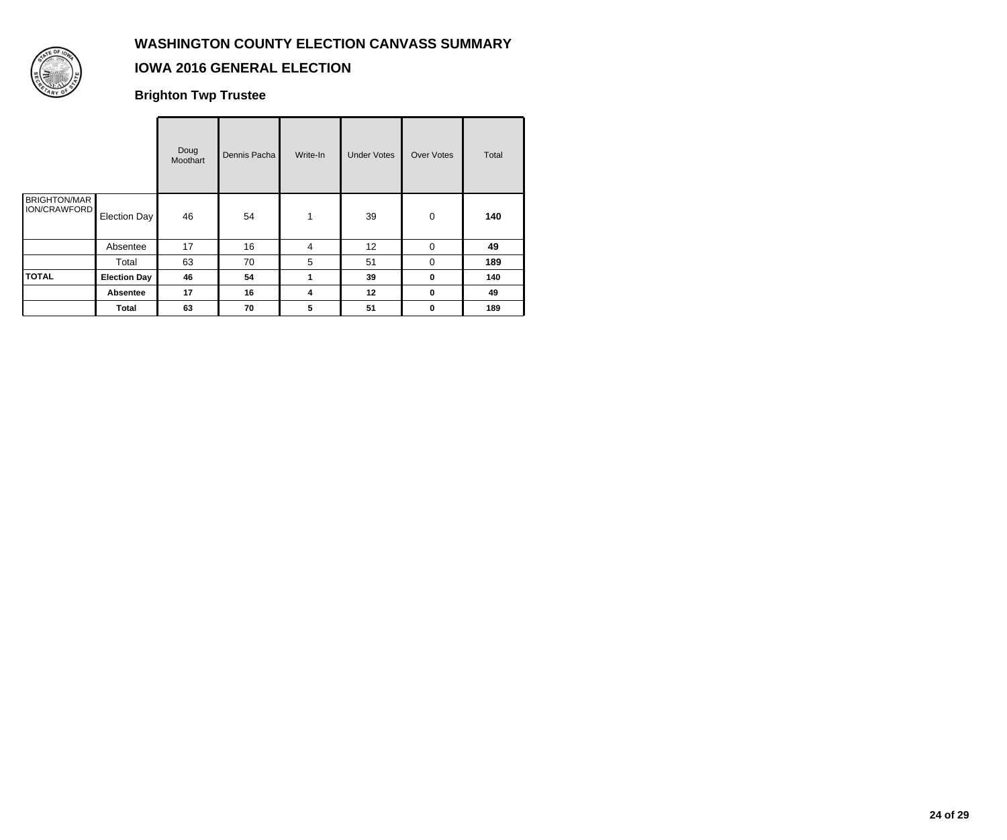

## **IOWA 2016 GENERAL ELECTION**

**Brighton Twp Trustee**

|                                     |                     | Doug<br>Moothart | Dennis Pacha | Write-In | <b>Under Votes</b> | Over Votes  | Total |
|-------------------------------------|---------------------|------------------|--------------|----------|--------------------|-------------|-------|
| <b>BRIGHTON/MAR</b><br>ION/CRAWFORD | Election Day        | 46               | 54           | 1        | 39                 | $\mathbf 0$ | 140   |
|                                     | Absentee            | 17               | 16           | 4        | 12                 | 0           | 49    |
|                                     | Total               | 63               | 70           | 5        | 51                 | $\Omega$    | 189   |
| <b>TOTAL</b>                        | <b>Election Day</b> | 46               | 54           | 1        | 39                 | $\bf{0}$    | 140   |
|                                     | Absentee            | 17               | 16           | 4        | 12                 | $\mathbf 0$ | 49    |
|                                     | Total               | 63               | 70           | 5        | 51                 | $\mathbf 0$ | 189   |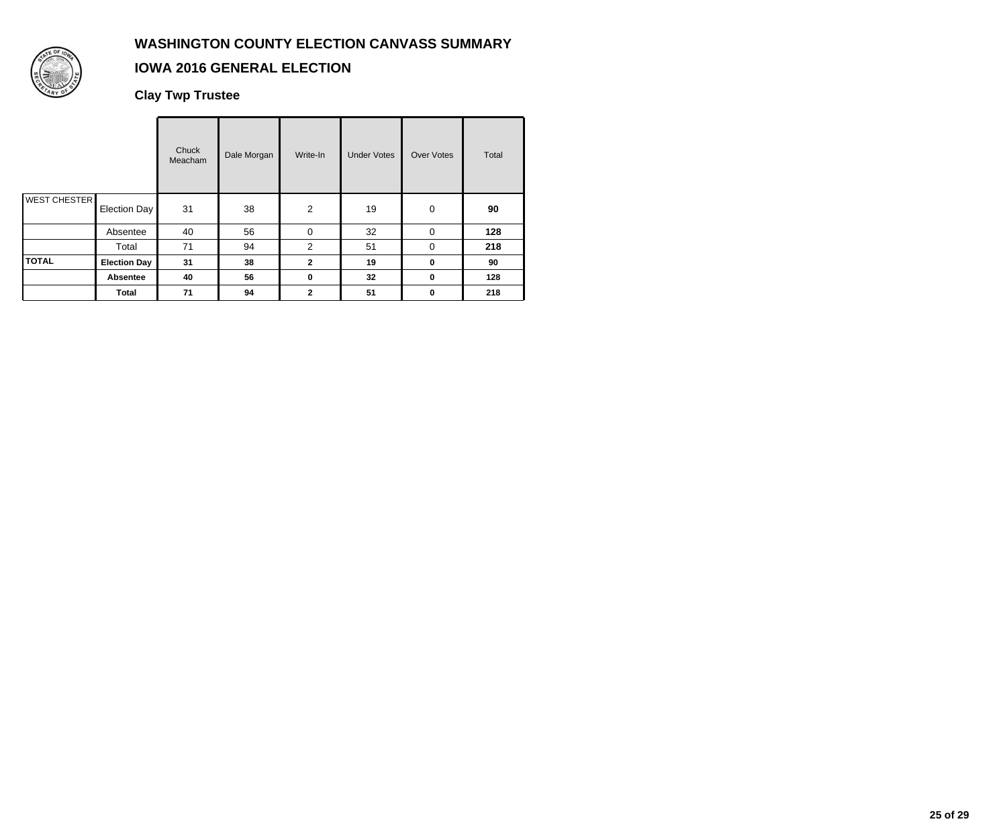

## **IOWA 2016 GENERAL ELECTION**

**Clay Twp Trustee**

|                     |                     | Chuck<br>Meacham | Dale Morgan | Write-In       | <b>Under Votes</b> | <b>Over Votes</b> | Total |
|---------------------|---------------------|------------------|-------------|----------------|--------------------|-------------------|-------|
| <b>WEST CHESTER</b> | Election Day        | 31               | 38          | 2              | 19                 | 0                 | 90    |
|                     | Absentee            | 40               | 56          | $\mathbf 0$    | 32                 | 0                 | 128   |
|                     | Total               | 71               | 94          | 2              | 51                 | 0                 | 218   |
| <b>TOTAL</b>        | <b>Election Day</b> | 31               | 38          | $\overline{2}$ | 19                 | 0                 | 90    |
|                     | Absentee            | 40               | 56          | $\mathbf 0$    | 32                 | 0                 | 128   |
|                     | Total               | 71               | 94          | $\overline{2}$ | 51                 | 0                 | 218   |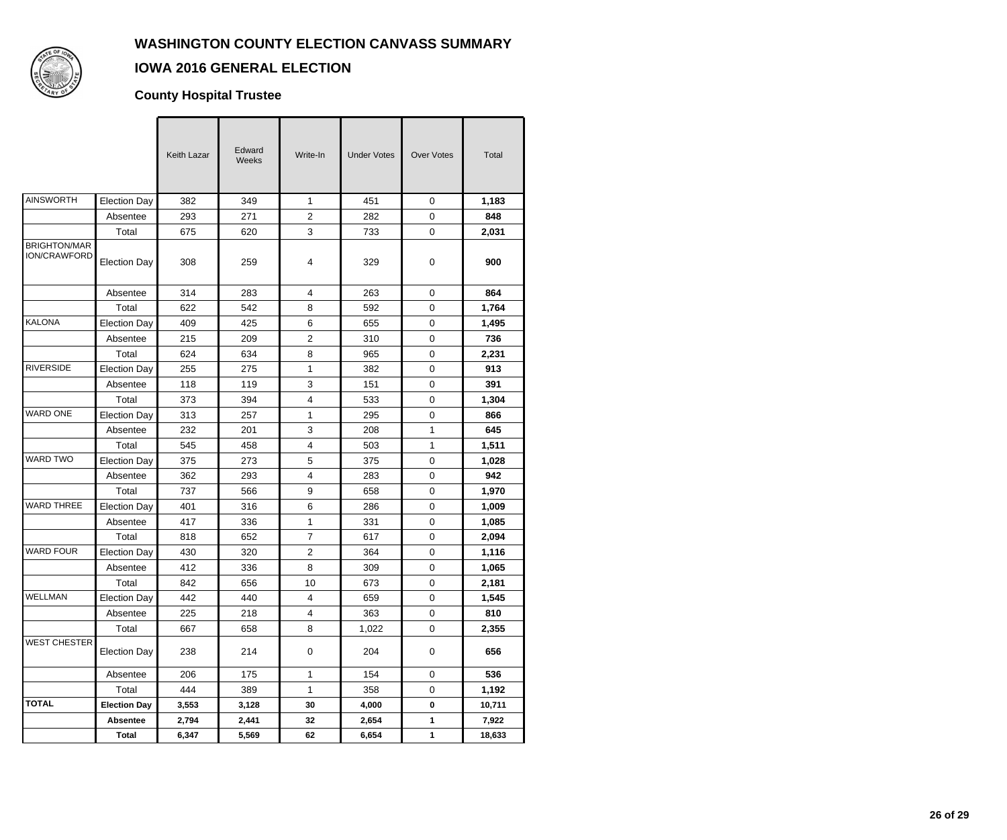

## **IOWA 2016 GENERAL ELECTION**

### **County Hospital Trustee**

|                                     |                     | Keith Lazar | Edward<br>Weeks | Write-In                | <b>Under Votes</b> | <b>Over Votes</b>   | Total  |
|-------------------------------------|---------------------|-------------|-----------------|-------------------------|--------------------|---------------------|--------|
| <b>AINSWORTH</b>                    | <b>Election Day</b> | 382         | 349             | $\mathbf{1}$            | 451                | $\mathbf 0$         | 1,183  |
|                                     | Absentee            | 293         | 271             | $\overline{2}$          | 282                | $\mathbf 0$         | 848    |
|                                     | Total               | 675         | 620             | 3                       | 733                | 0                   | 2,031  |
| <b>BRIGHTON/MAR</b><br>ION/CRAWFORD | <b>Election Day</b> | 308         | 259             | 4                       | 329                | 0                   | 900    |
|                                     | Absentee            | 314         | 283             | 4                       | 263                | $\mathbf 0$         | 864    |
|                                     | Total               | 622         | 542             | 8                       | 592                | 0                   | 1,764  |
| <b>KALONA</b>                       | <b>Election Day</b> | 409         | 425             | 6                       | 655                | 0                   | 1,495  |
|                                     | Absentee            | 215         | 209             | $\overline{c}$          | 310                | 0                   | 736    |
|                                     | Total               | 624         | 634             | 8                       | 965                | 0                   | 2,231  |
| <b>RIVERSIDE</b>                    | <b>Election Day</b> | 255         | 275             | 1                       | 382                | $\mathbf 0$         | 913    |
|                                     | Absentee            | 118         | 119             | 3                       | 151                | 0                   | 391    |
|                                     | Total               | 373         | 394             | 4                       | 533                | 0                   | 1,304  |
| <b>WARD ONE</b>                     | <b>Election Day</b> | 313         | 257             | 1                       | 295                | 0                   | 866    |
|                                     | Absentee            | 232         | 201             | 3                       | 208                | 1                   | 645    |
|                                     | Total               | 545         | 458             | $\overline{\mathbf{4}}$ | 503                | 1                   | 1,511  |
| <b>WARD TWO</b>                     | <b>Election Day</b> | 375         | 273             | 5                       | 375                | 0                   | 1,028  |
|                                     | Absentee            | 362         | 293             | 4                       | 283                | 0                   | 942    |
|                                     | Total               | 737         | 566             | 9                       | 658                | $\mathbf 0$         | 1,970  |
| <b>WARD THREE</b>                   | <b>Election Day</b> | 401         | 316             | 6                       | 286                | $\mathbf 0$         | 1,009  |
|                                     | Absentee            | 417         | 336             | 1                       | 331                | $\mathbf 0$         | 1,085  |
|                                     | Total               | 818         | 652             | $\overline{7}$          | 617                | 0                   | 2,094  |
| <b>WARD FOUR</b>                    | <b>Election Day</b> | 430         | 320             | $\overline{\mathbf{c}}$ | 364                | 0                   | 1,116  |
|                                     | Absentee            | 412         | 336             | 8                       | 309                | 0                   | 1,065  |
|                                     | Total               | 842         | 656             | 10                      | 673                | 0                   | 2,181  |
| WELLMAN                             | Election Day        | 442         | 440             | 4                       | 659                | $\mathsf 0$         | 1,545  |
|                                     | Absentee            | 225         | 218             | 4                       | 363                | 0                   | 810    |
|                                     | Total               | 667         | 658             | 8                       | 1,022              | $\mathsf{O}\xspace$ | 2,355  |
| <b>WEST CHESTER</b>                 | <b>Election Day</b> | 238         | 214             | $\pmb{0}$               | 204                | 0                   | 656    |
|                                     | Absentee            | 206         | 175             | 1                       | 154                | $\mathbf 0$         | 536    |
|                                     | Total               | 444         | 389             | 1                       | 358                | 0                   | 1,192  |
| <b>TOTAL</b>                        | <b>Election Day</b> | 3,553       | 3,128           | 30                      | 4,000              | $\bf{0}$            | 10,711 |
|                                     | <b>Absentee</b>     | 2,794       | 2,441           | 32                      | 2,654              | $\mathbf 1$         | 7,922  |
|                                     | <b>Total</b>        | 6,347       | 5,569           | 62                      | 6,654              | $\mathbf{1}$        | 18,633 |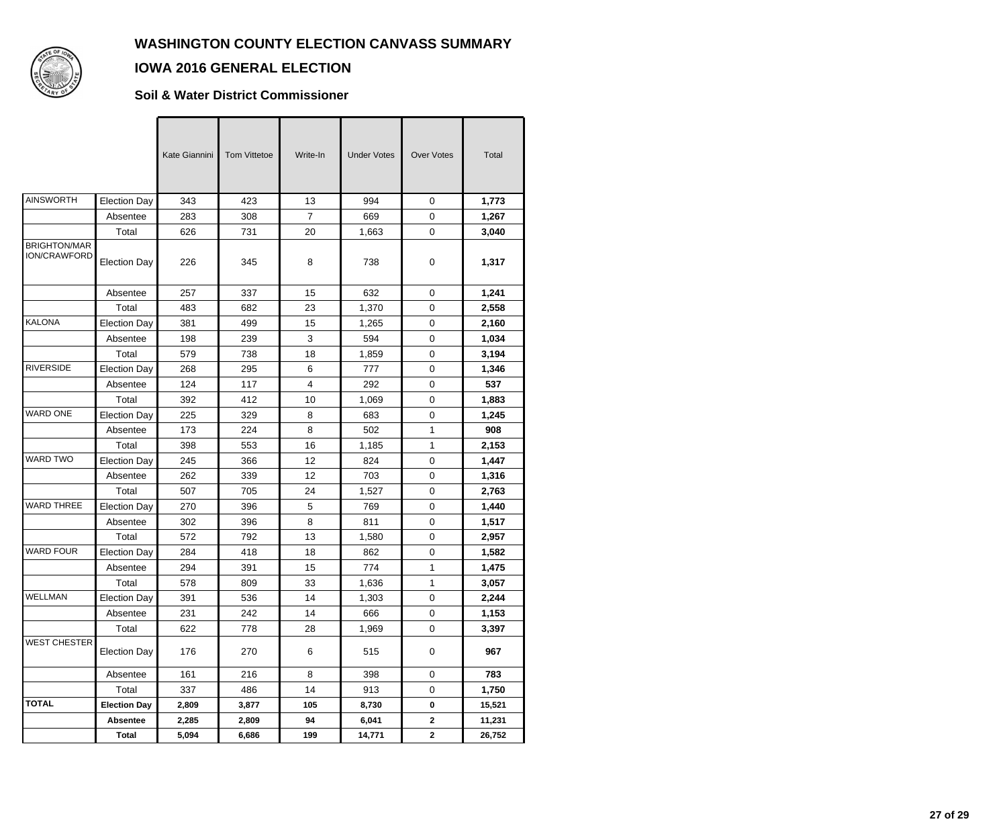

### **IOWA 2016 GENERAL ELECTION**

#### **Soil & Water District Commissioner**

|                                     |                     | Kate Giannini | <b>Tom Vittetoe</b> | Write-In       | <b>Under Votes</b> | <b>Over Votes</b> | Total  |
|-------------------------------------|---------------------|---------------|---------------------|----------------|--------------------|-------------------|--------|
| <b>AINSWORTH</b>                    | <b>Election Day</b> | 343           | 423                 | 13             | 994                | $\Omega$          | 1,773  |
|                                     | Absentee            | 283           | 308                 | $\overline{7}$ | 669                | $\mathbf 0$       | 1,267  |
|                                     | Total               | 626           | 731                 | 20             | 1,663              | 0                 | 3,040  |
| <b>BRIGHTON/MAR</b><br>ION/CRAWFORD | <b>Election Day</b> | 226           | 345                 | 8              | 738                | 0                 | 1,317  |
|                                     | Absentee            | 257           | 337                 | 15             | 632                | $\mathbf 0$       | 1,241  |
|                                     | Total               | 483           | 682                 | 23             | 1,370              | 0                 | 2,558  |
| <b>KALONA</b>                       | <b>Election Day</b> | 381           | 499                 | 15             | 1,265              | $\mathbf 0$       | 2,160  |
|                                     | Absentee            | 198           | 239                 | 3              | 594                | 0                 | 1,034  |
|                                     | Total               | 579           | 738                 | 18             | 1,859              | $\mathbf 0$       | 3,194  |
| <b>RIVERSIDE</b>                    | <b>Election Day</b> | 268           | 295                 | 6              | 777                | 0                 | 1,346  |
|                                     | Absentee            | 124           | 117                 | 4              | 292                | 0                 | 537    |
|                                     | Total               | 392           | 412                 | 10             | 1,069              | $\mathbf 0$       | 1,883  |
| <b>WARD ONE</b>                     | <b>Election Day</b> | 225           | 329                 | 8              | 683                | 0                 | 1,245  |
|                                     | Absentee            | 173           | 224                 | 8              | 502                | 1                 | 908    |
|                                     | Total               | 398           | 553                 | 16             | 1,185              | 1                 | 2,153  |
| <b>WARD TWO</b>                     | <b>Election Day</b> | 245           | 366                 | 12             | 824                | 0                 | 1,447  |
|                                     | Absentee            | 262           | 339                 | 12             | 703                | $\mathbf 0$       | 1,316  |
|                                     | Total               | 507           | 705                 | 24             | 1,527              | 0                 | 2,763  |
| <b>WARD THREE</b>                   | <b>Election Day</b> | 270           | 396                 | 5              | 769                | $\mathbf 0$       | 1,440  |
|                                     | Absentee            | 302           | 396                 | 8              | 811                | 0                 | 1,517  |
|                                     | Total               | 572           | 792                 | 13             | 1,580              | 0                 | 2,957  |
| <b>WARD FOUR</b>                    | <b>Election Day</b> | 284           | 418                 | 18             | 862                | $\mathbf 0$       | 1,582  |
|                                     | Absentee            | 294           | 391                 | 15             | 774                | 1                 | 1,475  |
|                                     | Total               | 578           | 809                 | 33             | 1,636              | 1                 | 3,057  |
| WELLMAN                             | Election Day        | 391           | 536                 | 14             | 1,303              | 0                 | 2,244  |
|                                     | Absentee            | 231           | 242                 | 14             | 666                | 0                 | 1,153  |
|                                     | Total               | 622           | 778                 | 28             | 1,969              | $\pmb{0}$         | 3,397  |
| <b>WEST CHESTER</b>                 | <b>Election Day</b> | 176           | 270                 | 6              | 515                | 0                 | 967    |
|                                     | Absentee            | 161           | 216                 | 8              | 398                | $\mathbf 0$       | 783    |
|                                     | Total               | 337           | 486                 | 14             | 913                | 0                 | 1,750  |
| <b>TOTAL</b>                        | <b>Election Day</b> | 2,809         | 3,877               | 105            | 8,730              | $\pmb{0}$         | 15,521 |
|                                     | <b>Absentee</b>     | 2,285         | 2,809               | 94             | 6,041              | $\mathbf{2}$      | 11,231 |
|                                     | <b>Total</b>        | 5,094         | 6,686               | 199            | 14,771             | $\mathbf{2}$      | 26,752 |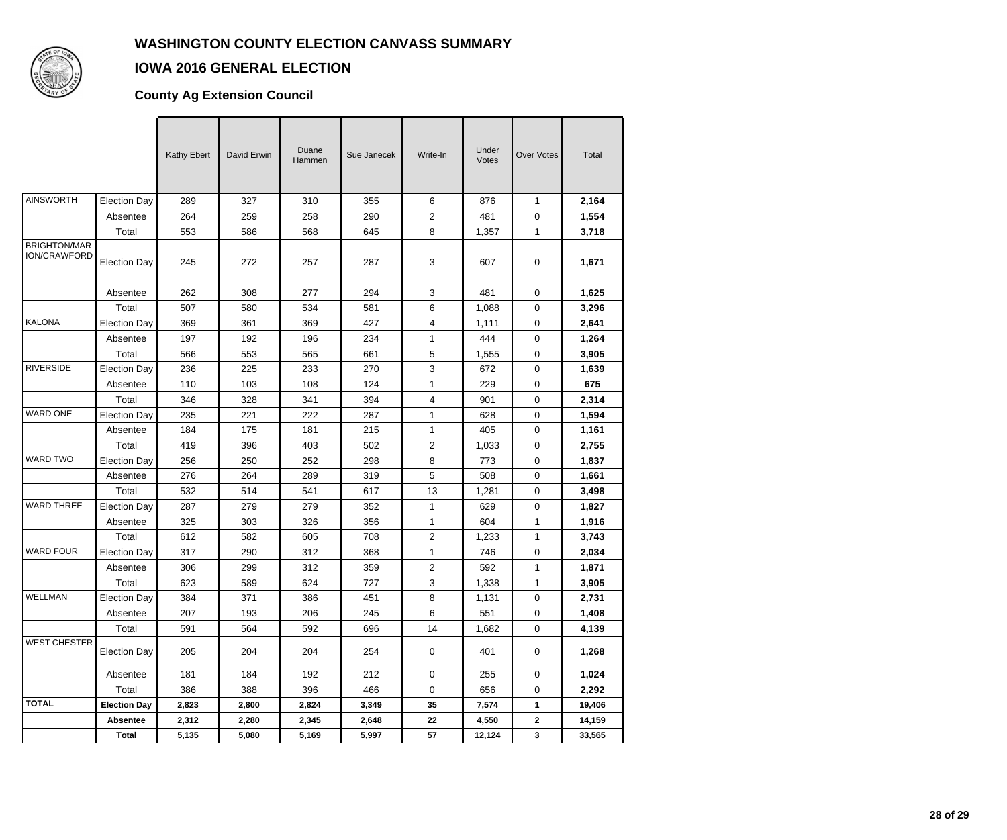

#### **IOWA 2016 GENERAL ELECTION**

## **County Ag Extension Council**

|                                     |                     | Kathy Ebert | David Erwin | Duane<br>Hammen | Sue Janecek | Write-In       | Under<br>Votes | <b>Over Votes</b> | Total  |
|-------------------------------------|---------------------|-------------|-------------|-----------------|-------------|----------------|----------------|-------------------|--------|
| AINSWORTH                           | <b>Election Day</b> | 289         | 327         | 310             | 355         | 6              | 876            | $\mathbf{1}$      | 2,164  |
|                                     | Absentee            | 264         | 259         | 258             | 290         | $\overline{c}$ | 481            | 0                 | 1,554  |
|                                     | Total               | 553         | 586         | 568             | 645         | 8              | 1,357          | 1                 | 3,718  |
| <b>BRIGHTON/MAR</b><br>ION/CRAWFORD | <b>Election Day</b> | 245         | 272         | 257             | 287         | 3              | 607            | 0                 | 1,671  |
|                                     | Absentee            | 262         | 308         | 277             | 294         | 3              | 481            | $\mathsf 0$       | 1,625  |
|                                     | Total               | 507         | 580         | 534             | 581         | 6              | 1,088          | 0                 | 3,296  |
| KALONA                              | <b>Election Day</b> | 369         | 361         | 369             | 427         | 4              | 1,111          | 0                 | 2,641  |
|                                     | Absentee            | 197         | 192         | 196             | 234         | 1              | 444            | 0                 | 1,264  |
|                                     | Total               | 566         | 553         | 565             | 661         | 5              | 1,555          | 0                 | 3,905  |
| <b>RIVERSIDE</b>                    | <b>Election Day</b> | 236         | 225         | 233             | 270         | 3              | 672            | 0                 | 1,639  |
|                                     | Absentee            | 110         | 103         | 108             | 124         | 1              | 229            | 0                 | 675    |
|                                     | Total               | 346         | 328         | 341             | 394         | 4              | 901            | 0                 | 2,314  |
| <b>WARD ONE</b>                     | <b>Election Day</b> | 235         | 221         | 222             | 287         | 1              | 628            | 0                 | 1,594  |
|                                     | Absentee            | 184         | 175         | 181             | 215         | 1              | 405            | 0                 | 1,161  |
|                                     | Total               | 419         | 396         | 403             | 502         | 2              | 1,033          | 0                 | 2,755  |
| <b>WARD TWO</b>                     | <b>Election Day</b> | 256         | 250         | 252             | 298         | 8              | 773            | 0                 | 1,837  |
|                                     | Absentee            | 276         | 264         | 289             | 319         | 5              | 508            | 0                 | 1,661  |
|                                     | Total               | 532         | 514         | 541             | 617         | 13             | 1,281          | 0                 | 3,498  |
| <b>WARD THREE</b>                   | <b>Election Day</b> | 287         | 279         | 279             | 352         | 1              | 629            | 0                 | 1,827  |
|                                     | Absentee            | 325         | 303         | 326             | 356         | 1              | 604            | 1                 | 1,916  |
|                                     | Total               | 612         | 582         | 605             | 708         | 2              | 1,233          | 1                 | 3,743  |
| <b>WARD FOUR</b>                    | <b>Election Day</b> | 317         | 290         | 312             | 368         | 1              | 746            | 0                 | 2,034  |
|                                     | Absentee            | 306         | 299         | 312             | 359         | 2              | 592            | 1                 | 1,871  |
|                                     | Total               | 623         | 589         | 624             | 727         | 3              | 1,338          | 1                 | 3,905  |
| WELLMAN                             | Election Day        | 384         | 371         | 386             | 451         | 8              | 1,131          | 0                 | 2,731  |
|                                     | Absentee            | 207         | 193         | 206             | 245         | 6              | 551            | $\mathbf 0$       | 1,408  |
|                                     | Total               | 591         | 564         | 592             | 696         | 14             | 1,682          | $\mathbf 0$       | 4,139  |
| <b>WEST CHESTER</b>                 | <b>Election Day</b> | 205         | 204         | 204             | 254         | 0              | 401            | 0                 | 1,268  |
|                                     | Absentee            | 181         | 184         | 192             | 212         | 0              | 255            | $\pmb{0}$         | 1,024  |
|                                     | Total               | 386         | 388         | 396             | 466         | 0              | 656            | $\pmb{0}$         | 2,292  |
| <b>TOTAL</b>                        | <b>Election Day</b> | 2,823       | 2,800       | 2,824           | 3,349       | 35             | 7,574          | $\mathbf 1$       | 19,406 |
|                                     | Absentee            | 2,312       | 2,280       | 2,345           | 2,648       | 22             | 4,550          | 2                 | 14,159 |
|                                     | Total               | 5,135       | 5,080       | 5,169           | 5,997       | 57             | 12,124         | 3                 | 33,565 |